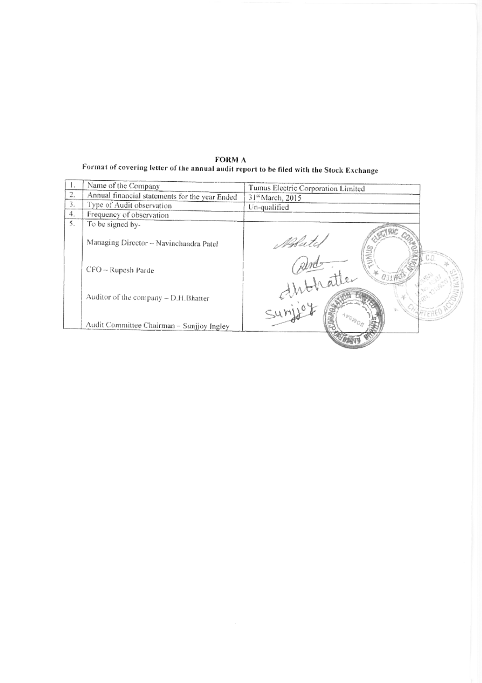FORM A Format of covering letter of the annual audit report to be filed with the Stock Exchange

| ι. | Name of the Company                            | Tumus Electric Corporation Limited |
|----|------------------------------------------------|------------------------------------|
| 2. | Annual financial statements for the year Ended | 31st March, 2015                   |
| 3. | Type of Audit observation                      | Un-qualified                       |
| 4. | Frequency of observation                       |                                    |
| 5. | To be signed by-                               |                                    |
|    | Managing Director - Navinchandra Patel         | Abatel                             |
|    | CFO - Rupesh Parde                             |                                    |
|    | Auditor of the company - D.H.Bhatter           | dhothatter                         |
|    | Audit Committee Chairman - Sunjjoy Ingley      | Sur                                |
|    |                                                |                                    |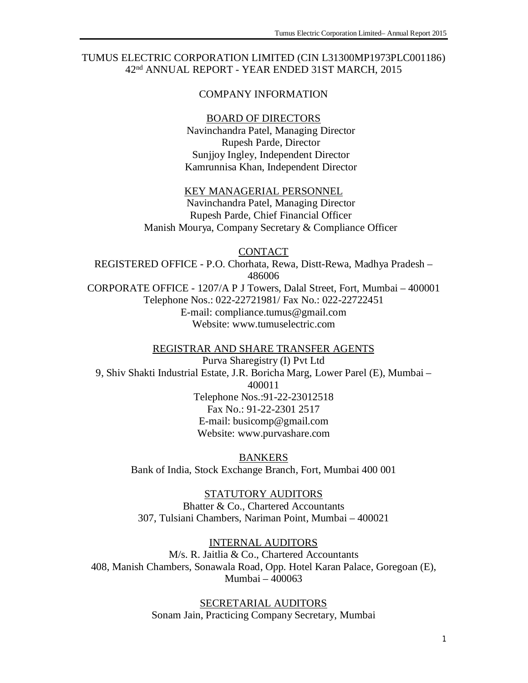# TUMUS ELECTRIC CORPORATION LIMITED (CIN L31300MP1973PLC001186) 42nd ANNUAL REPORT - YEAR ENDED 31ST MARCH, 2015

# COMPANY INFORMATION

# BOARD OF DIRECTORS

Navinchandra Patel, Managing Director Rupesh Parde, Director Sunjjoy Ingley, Independent Director Kamrunnisa Khan, Independent Director

# KEY MANAGERIAL PERSONNEL

Navinchandra Patel, Managing Director Rupesh Parde, Chief Financial Officer Manish Mourya, Company Secretary & Compliance Officer

# **CONTACT**

REGISTERED OFFICE - P.O. Chorhata, Rewa, Distt-Rewa, Madhya Pradesh – 486006 CORPORATE OFFICE - 1207/A P J Towers, Dalal Street, Fort, Mumbai – 400001 Telephone Nos.: 022-22721981/ Fax No.: 022-22722451 E-mail: compliance.tumus@gmail.com Website: www.tumuselectric.com

# REGISTRAR AND SHARE TRANSFER AGENTS

Purva Sharegistry (I) Pvt Ltd 9, Shiv Shakti Industrial Estate, J.R. Boricha Marg, Lower Parel (E), Mumbai – 400011 Telephone Nos.:91-22-23012518 Fax No.: 91-22-2301 2517 E-mail: busicomp@gmail.com Website: www.purvashare.com

> BANKERS Bank of India, Stock Exchange Branch, Fort, Mumbai 400 001

# STATUTORY AUDITORS

Bhatter & Co., Chartered Accountants 307, Tulsiani Chambers, Nariman Point, Mumbai – 400021

# INTERNAL AUDITORS

M/s. R. Jaitlia & Co., Chartered Accountants 408, Manish Chambers, Sonawala Road, Opp. Hotel Karan Palace, Goregoan (E), Mumbai – 400063

> SECRETARIAL AUDITORS Sonam Jain, Practicing Company Secretary, Mumbai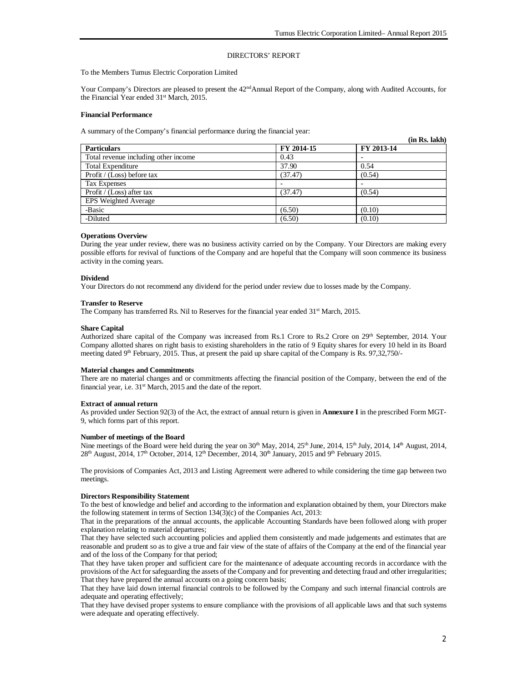### DIRECTORS' REPORT

To the Members Tumus Electric Corporation Limited

Your Company's Directors are pleased to present the 42<sup>nd</sup>Annual Report of the Company, along with Audited Accounts, for the Financial Year ended 31st March, 2015.

### **Financial Performance**

A summary of the Company's financial performance during the financial year:

|                                      |            | (in Rs. lakh) |
|--------------------------------------|------------|---------------|
| <b>Particulars</b>                   | FY 2014-15 | FY 2013-14    |
| Total revenue including other income | 0.43       |               |
| <b>Total Expenditure</b>             | 37.90      | 0.54          |
| Profit / $(Loss)$ before tax         | (37.47)    | (0.54)        |
| Tax Expenses                         |            |               |
| Profit / $(Loss)$ after tax          | (37.47)    | (0.54)        |
| <b>EPS Weighted Average</b>          |            |               |
| -Basic                               | (6.50)     | (0.10)        |
| -Diluted                             | (6.50)     | (0.10)        |

### **Operations Overview**

During the year under review, there was no business activity carried on by the Company. Your Directors are making every possible efforts for revival of functions of the Company and are hopeful that the Company will soon commence its business activity in the coming years.

### **Dividend**

Your Directors do not recommend any dividend for the period under review due to losses made by the Company.

#### **Transfer to Reserve**

The Company has transferred Rs. Nil to Reserves for the financial year ended 31<sup>st</sup> March, 2015.

### **Share Capital**

Authorized share capital of the Company was increased from Rs.1 Crore to Rs.2 Crore on 29<sup>th</sup> September, 2014. Your Company allotted shares on right basis to existing shareholders in the ratio of 9 Equity shares for every 10 held in its Board meeting dated 9<sup>th</sup> February, 2015. Thus, at present the paid up share capital of the Company is Rs. 97,32,750/-

### **Material changes and Commitments**

There are no material changes and or commitments affecting the financial position of the Company, between the end of the financial year, i.e. 31<sup>st</sup> March, 2015 and the date of the report.

### **Extract of annual return**

As provided under Section 92(3) of the Act, the extract of annual return is given in **Annexure I** in the prescribed Form MGT-9, which forms part of this report.

#### **Number of meetings of the Board**

Nine meetings of the Board were held during the year on 30<sup>th</sup> May, 2014, 25<sup>th</sup> June, 2014, 15<sup>th</sup> July, 2014, 14<sup>th</sup> August, 2014, 28<sup>th</sup> August, 2014, 17<sup>th</sup> October, 2014, 12<sup>th</sup> December, 2014, 30<sup>th</sup> January, 2015 and 9<sup>th</sup> February 2015.

The provisions of Companies Act, 2013 and Listing Agreement were adhered to while considering the time gap between two meetings.

### **Directors Responsibility Statement**

To the best of knowledge and belief and according to the information and explanation obtained by them, your Directors make the following statement in terms of Section 134(3)(c) of the Companies Act, 2013:

That in the preparations of the annual accounts, the applicable Accounting Standards have been followed along with proper explanation relating to material departures;

That they have selected such accounting policies and applied them consistently and made judgements and estimates that are reasonable and prudent so as to give a true and fair view of the state of affairs of the Company at the end of the financial year and of the loss of the Company for that period;

That they have taken proper and sufficient care for the maintenance of adequate accounting records in accordance with the provisions of the Act for safeguarding the assets of the Company and for preventing and detecting fraud and other irregularities; That they have prepared the annual accounts on a going concern basis;

That they have laid down internal financial controls to be followed by the Company and such internal financial controls are adequate and operating effectively;

That they have devised proper systems to ensure compliance with the provisions of all applicable laws and that such systems were adequate and operating effectively.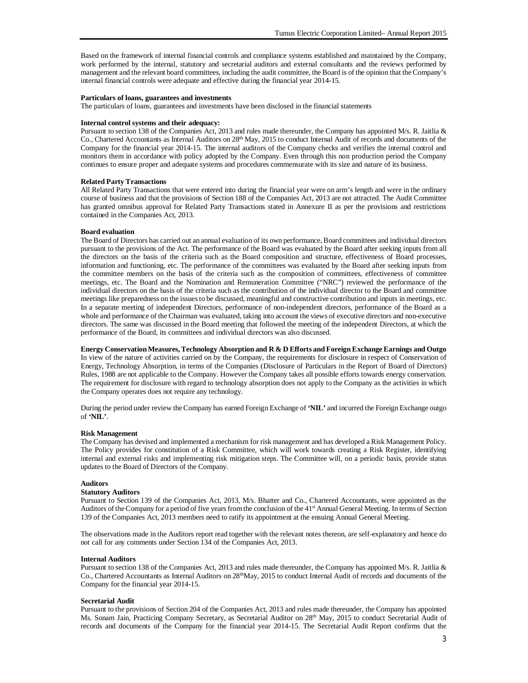Based on the framework of internal financial controls and compliance systems established and maintained by the Company, work performed by the internal, statutory and secretarial auditors and external consultants and the reviews performed by management and the relevant board committees, including the audit committee, the Board is of the opinion that the Company's internal financial controls were adequate and effective during the financial year 2014-15.

### **Particulars of loans, guarantees and investments**

The particulars of loans, guarantees and investments have been disclosed in the financial statements

### **Internal control systems and their adequacy:**

Pursuant to section 138 of the Companies Act, 2013 and rules made thereunder, the Company has appointed M/s. R. Jaitlia & Co., Chartered Accountants as Internal Auditors on 28th May, 2015 to conduct Internal Audit of records and documents of the Company for the financial year 2014-15. The internal auditors of the Company checks and verifies the internal control and monitors them in accordance with policy adopted by the Company. Even through this non production period the Company continues to ensure proper and adequate systems and procedures commensurate with its size and nature of its business.

#### **Related Party Transactions**

All Related Party Transactions that were entered into during the financial year were on arm's length and were in the ordinary course of business and that the provisions of Section 188 of the Companies Act, 2013 are not attracted. The Audit Committee has granted omnibus approval for Related Party Transactions stated in Annexure II as per the provisions and restrictions contained in the Companies Act, 2013.

### **Board evaluation**

The Board of Directors has carried out an annual evaluation of its own performance, Board committees and individual directors pursuant to the provisions of the Act. The performance of the Board was evaluated by the Board after seeking inputs from all the directors on the basis of the criteria such as the Board composition and structure, effectiveness of Board processes, information and functioning, etc. The performance of the committees was evaluated by the Board after seeking inputs from the committee members on the basis of the criteria such as the composition of committees, effectiveness of committee meetings, etc. The Board and the Nomination and Remuneration Committee ("NRC") reviewed the performance of the individual directors on the basis of the criteria such as the contribution of the individual director to the Board and committee meetings like preparedness on the issues to be discussed, meaningful and constructive contribution and inputs in meetings, etc. In a separate meeting of independent Directors, performance of non-independent directors, performance of the Board as a whole and performance of the Chairman was evaluated, taking into account the views of executive directors and non-executive directors. The same was discussed in the Board meeting that followed the meeting of the independent Directors, at which the performance of the Board, its committees and individual directors was also discussed.

### **Energy Conservation Measures, Technology Absorption and R & D Efforts and Foreign Exchange Earnings and Outgo**

In view of the nature of activities carried on by the Company, the requirements for disclosure in respect of Conservation of Energy, Technology Absorption, in terms of the Companies (Disclosure of Particulars in the Report of Board of Directors) Rules, 1988 are not applicable to the Company. However the Company takes all possible efforts towards energy conservation. The requirement for disclosure with regard to technology absorption does not apply to the Company as the activities in which the Company operates does not require any technology.

During the period under review the Company has earned Foreign Exchange of **'NIL'** and incurred the Foreign Exchange outgo of **'NIL'**.

#### **Risk Management**

The Company has devised and implemented a mechanism for risk management and has developed a Risk Management Policy. The Policy provides for constitution of a Risk Committee, which will work towards creating a Risk Register, identifying internal and external risks and implementing risk mitigation steps. The Committee will, on a periodic basis, provide status updates to the Board of Directors of the Company.

#### **Auditors**

### **Statutory Auditors**

Pursuant to Section 139 of the Companies Act, 2013, M/s. Bhatter and Co., Chartered Accountants, were appointed as the Auditors of the Company for a period of five years from the conclusion of the 41<sup>st</sup> Annual General Meeting. In terms of Section 139 of the Companies Act, 2013 members need to ratify its appointment at the ensuing Annual General Meeting.

The observations made in the Auditors report read together with the relevant notes thereon, are self-explanatory and hence do not call for any comments under Section 134 of the Companies Act, 2013.

### **Internal Auditors**

Pursuant to section 138 of the Companies Act, 2013 and rules made thereunder, the Company has appointed M/s. R. Jaitlia & Co., Chartered Accountants as Internal Auditors on 28<sup>th</sup>May, 2015 to conduct Internal Audit of records and documents of the Company for the financial year 2014-15.

### **Secretarial Audit**

Pursuant to the provisions of Section 204 of the Companies Act, 2013 and rules made thereunder, the Company has appointed Ms. Sonam Jain, Practicing Company Secretary, as Secretarial Auditor on 28<sup>th</sup> May, 2015 to conduct Secretarial Audit of records and documents of the Company for the financial year 2014-15. The Secretarial Audit Report confirms that the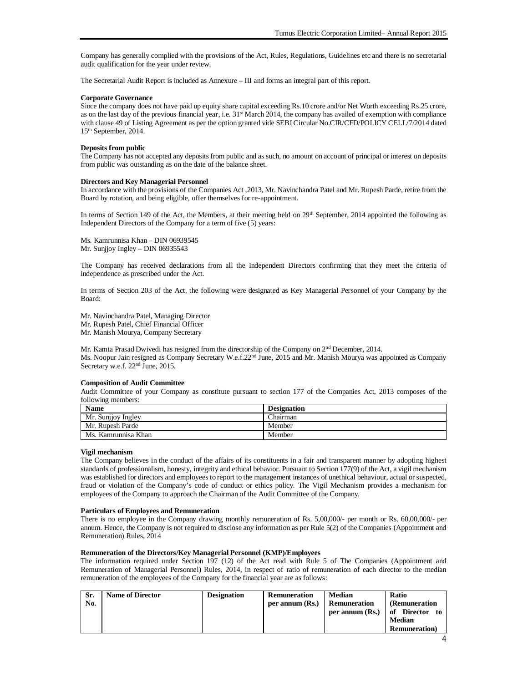Company has generally complied with the provisions of the Act, Rules, Regulations, Guidelines etc and there is no secretarial audit qualification for the year under review.

The Secretarial Audit Report is included as Annexure – III and forms an integral part of this report.

### **Corporate Governance**

Since the company does not have paid up equity share capital exceeding Rs.10 crore and/or Net Worth exceeding Rs.25 crore, as on the last day of the previous financial year, i.e.  $31<sup>s</sup>$  March 2014, the company has availed of exemption with compliance with clause 49 of Listing Agreement as per the option granted vide SEBI Circular No.CIR/CFD/POLICY CELL/7/2014 dated 15th September, 2014.

#### **Deposits from public**

The Company has not accepted any deposits from public and as such, no amount on account of principal or interest on deposits from public was outstanding as on the date of the balance sheet.

#### **Directors and Key Managerial Personnel**

In accordance with the provisions of the Companies Act ,2013, Mr. Navinchandra Patel and Mr. Rupesh Parde, retire from the Board by rotation, and being eligible, offer themselves for re-appointment.

In terms of Section 149 of the Act, the Members, at their meeting held on 29<sup>th</sup> September, 2014 appointed the following as Independent Directors of the Company for a term of five (5) years:

Ms. Kamrunnisa Khan – DIN 06939545 Mr. Sunjjoy Ingley – DIN 06935543

The Company has received declarations from all the Independent Directors confirming that they meet the criteria of independence as prescribed under the Act.

In terms of Section 203 of the Act, the following were designated as Key Managerial Personnel of your Company by the Board:

Mr. Navinchandra Patel, Managing Director Mr. Rupesh Patel, Chief Financial Officer Mr. Manish Mourya, Company Secretary

Mr. Kamta Prasad Dwivedi has resigned from the directorship of the Company on  $2<sup>nd</sup>$  December, 2014. Ms. Noopur Jain resigned as Company Secretary W.e.f.22nd June, 2015 and Mr. Manish Mourya was appointed as Company Secretary w.e.f. 22nd June, 2015.

### **Composition of Audit Committee**

Audit Committee of your Company as constitute pursuant to section 177 of the Companies Act, 2013 composes of the following members:

| <b>Name</b>         | <b>Designation</b> |
|---------------------|--------------------|
| Mr. Sunjjoy Ingley  | <b>Chairman</b>    |
| Mr. Rupesh Parde    | Member             |
| Ms. Kamrunnisa Khan | Member             |

### **Vigil mechanism**

The Company believes in the conduct of the affairs of its constituents in a fair and transparent manner by adopting highest standards of professionalism, honesty, integrity and ethical behavior. Pursuant to Section 177(9) of the Act, a vigil mechanism was established for directors and employees to report to the management instances of unethical behaviour, actual or suspected, fraud or violation of the Company's code of conduct or ethics policy. The Vigil Mechanism provides a mechanism for employees of the Company to approach the Chairman of the Audit Committee of the Company.

#### **Particulars of Employees and Remuneration**

There is no employee in the Company drawing monthly remuneration of Rs. 5,00,000/- per month or Rs. 60,00,000/- per annum. Hence, the Company is not required to disclose any information as per Rule 5(2) of the Companies (Appointment and Remuneration) Rules, 2014

### **Remuneration of the Directors/Key Managerial Personnel (KMP)/Employees**

The information required under Section 197 (12) of the Act read with Rule 5 of The Companies (Appointment and Remuneration of Managerial Personnel) Rules, 2014, in respect of ratio of remuneration of each director to the median remuneration of the employees of the Company for the financial year are as follows:

| Sr.<br>No. | <b>Name of Director</b> | <b>Designation</b> | <b>Remuneration</b><br>per annum (Rs.) | <b>Median</b><br>Remuneration<br>per annum $(Rs.)$ | <b>Ratio</b><br><b>(Remuneration</b><br>of Director to<br><b>Median</b><br><b>Remuneration</b> ) |
|------------|-------------------------|--------------------|----------------------------------------|----------------------------------------------------|--------------------------------------------------------------------------------------------------|
|------------|-------------------------|--------------------|----------------------------------------|----------------------------------------------------|--------------------------------------------------------------------------------------------------|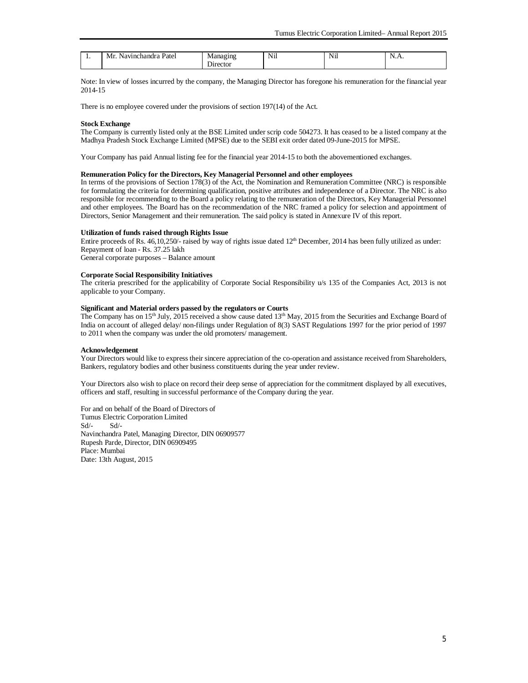| . . | Patel<br>Mr.<br>nandra<br>Navincha. | Managing<br>. . | Nil<br>the contract of the contract of the | $\cdots$<br>N11<br>and the contract of the con- | N<br><b>A</b> 1.4 A. |
|-----|-------------------------------------|-----------------|--------------------------------------------|-------------------------------------------------|----------------------|
|     |                                     | Jirector        |                                            |                                                 |                      |

Note: In view of losses incurred by the company, the Managing Director has foregone his remuneration for the financial year 2014-15

There is no employee covered under the provisions of section 197(14) of the Act.

### **Stock Exchange**

The Company is currently listed only at the BSE Limited under scrip code 504273. It has ceased to be a listed company at the Madhya Pradesh Stock Exchange Limited (MPSE) due to the SEBI exit order dated 09-June-2015 for MPSE.

Your Company has paid Annual listing fee for the financial year 2014-15 to both the abovementioned exchanges.

### **Remuneration Policy for the Directors, Key Managerial Personnel and other employees**

In terms of the provisions of Section 178(3) of the Act, the Nomination and Remuneration Committee (NRC) is responsible for formulating the criteria for determining qualification, positive attributes and independence of a Director. The NRC is also responsible for recommending to the Board a policy relating to the remuneration of the Directors, Key Managerial Personnel and other employees. The Board has on the recommendation of the NRC framed a policy for selection and appointment of Directors, Senior Management and their remuneration. The said policy is stated in Annexure IV of this report.

## **Utilization of funds raised through Rights Issue**

Entire proceeds of Rs. 46,10,250/- raised by way of rights issue dated 12<sup>th</sup> December, 2014 has been fully utilized as under: Repayment of loan - Rs. 37.25 lakh

General corporate purposes – Balance amount

### **Corporate Social Responsibility Initiatives**

The criteria prescribed for the applicability of Corporate Social Responsibility u/s 135 of the Companies Act, 2013 is not applicable to your Company.

### **Significant and Material orders passed by the regulators or Courts**

The Company has on  $15<sup>th</sup>$  July, 2015 received a show cause dated  $13<sup>th</sup>$  May, 2015 from the Securities and Exchange Board of India on account of alleged delay/ non-filings under Regulation of 8(3) SAST Regulations 1997 for the prior period of 1997 to 2011 when the company was under the old promoters/ management.

### **Acknowledgement**

Your Directors would like to express their sincere appreciation of the co-operation and assistance received from Shareholders, Bankers, regulatory bodies and other business constituents during the year under review.

Your Directors also wish to place on record their deep sense of appreciation for the commitment displayed by all executives, officers and staff, resulting in successful performance of the Company during the year.

For and on behalf of the Board of Directors of Tumus Electric Corporation Limited  $Sd$ <sup>-</sup> Navinchandra Patel, Managing Director, DIN 06909577 Rupesh Parde, Director, DIN 06909495 Place: Mumbai Date: 13th August, 2015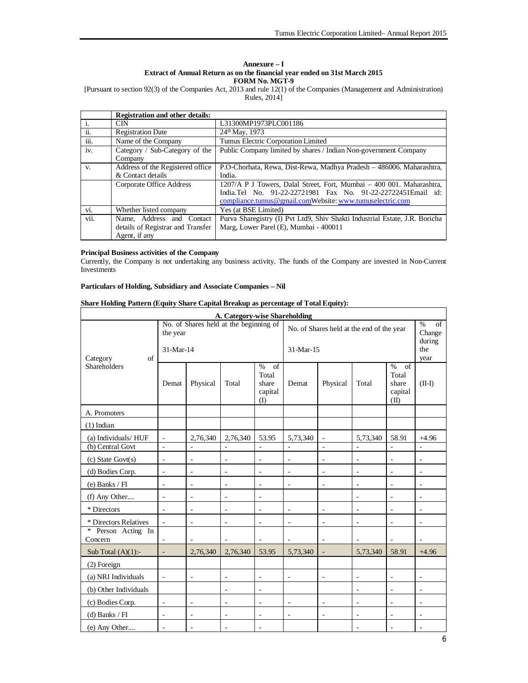## **Annexure – I Extract of Annual Return as on the financial year ended on 31st March 2015 FORM No. MGT-9**

[Pursuant to section 92(3) of the Companies Act, 2013 and rule 12(1) of the Companies (Management and Administration) Rules, 2014]

|      | <b>Registration and other details:</b> |                                                                             |
|------|----------------------------------------|-----------------------------------------------------------------------------|
| i.   | <b>CIN</b>                             | L31300MP1973PLC001186                                                       |
| ii.  | <b>Registration Date</b>               | $24th$ May, 1973                                                            |
| iii. | Name of the Company                    | Tumus Electric Corporation Limited                                          |
| iv.  | Category / Sub-Category of the         | Public Company limited by shares / Indian Non-government Company            |
|      | Company                                |                                                                             |
| V.   | Address of the Registered office.      | P.O-Chorhata, Rewa, Dist-Rewa, Madhya Pradesh - 486006. Maharashtra,        |
|      | & Contact details                      | India.                                                                      |
|      | Corporate Office Address               | 1207/A P J Towers, Dalal Street, Fort, Mumbai – 400 001. Maharashtra,       |
|      |                                        | India.Tel No. 91-22-22721981 Fax No. 91-22-22722451Email id:                |
|      |                                        | compliance.tumus@gmail.comWebsite: www.tumuselectric.com                    |
| vi.  | Whether listed company                 | Yes (at BSE Limited)                                                        |
| vii. | Name, Address and Contact              | Purva Sharegistry (I) Pvt Ltd9, Shiv Shakti Industrial Estate, J.R. Boricha |
|      | details of Registrar and Transfer      | Marg, Lower Parel (E), Mumbai - 400011                                      |
|      | Agent, if any                          |                                                                             |

### **Principal Business activities of the Company**

Currently, the Company is not undertaking any business activity. The funds of the Company are invested in Non-Current Investments

**Particulars of Holding, Subsidiary and Associate Companies – Nil**

# **Share Holding Pattern (Equity Share Capital Breakup as percentage of Total Equity):**

| A. Category-wise Shareholding            |                                                                 |                              |                              |                                                        |                                                        |                                       |                            |                                                 |                                               |
|------------------------------------------|-----------------------------------------------------------------|------------------------------|------------------------------|--------------------------------------------------------|--------------------------------------------------------|---------------------------------------|----------------------------|-------------------------------------------------|-----------------------------------------------|
| of<br>Category                           | No. of Shares held at the beginning of<br>the year<br>31-Mar-14 |                              |                              |                                                        | No. of Shares held at the end of the year<br>31-Mar-15 |                                       |                            |                                                 | $\%$<br>of<br>Change<br>during<br>the<br>year |
| Shareholders                             | Demat                                                           | Physical                     | Total                        | $\%$<br>$\sigma$ f<br>Total<br>share<br>capital<br>(I) | Demat                                                  | Physical                              | Total                      | $\%$<br>of<br>Total<br>share<br>capital<br>(II) | $(II-I)$                                      |
| A. Promoters                             |                                                                 |                              |                              |                                                        |                                                        |                                       |                            |                                                 |                                               |
| $(1)$ Indian                             |                                                                 |                              |                              |                                                        |                                                        |                                       |                            |                                                 |                                               |
| (a) Individuals/ HUF<br>(b) Central Govt | $\blacksquare$<br>$\blacksquare$                                | 2,76,340<br>÷,               | 2,76,340<br>÷,               | 53.95<br>$\overline{a}$                                | 5,73,340<br>$\bar{a}$                                  | $\bar{\phantom{a}}$<br>$\overline{a}$ | 5,73,340<br>$\overline{a}$ | 58.91<br>$\overline{a}$                         | $+4.96$<br>$\bar{\phantom{a}}$                |
| $(c)$ State Govt $(s)$                   | $\bar{\phantom{a}}$                                             | $\blacksquare$               | $\overline{\phantom{a}}$     | $\blacksquare$                                         | $\blacksquare$                                         | $\bar{a}$                             | $\blacksquare$             | ÷,                                              | $\blacksquare$                                |
| (d) Bodies Corp.                         | $\bar{\phantom{a}}$                                             | $\overline{\phantom{a}}$     | $\overline{\phantom{a}}$     | $\blacksquare$                                         | $\blacksquare$                                         | $\blacksquare$                        | $\overline{\phantom{a}}$   | $\bar{\phantom{a}}$                             | $\omega$                                      |
| $(e)$ Banks / FI                         | $\overline{\phantom{a}}$                                        | $\overline{\phantom{a}}$     | $\overline{\phantom{a}}$     | ÷,                                                     | $\overline{\phantom{a}}$                               | $\blacksquare$                        | $\overline{\phantom{a}}$   | ÷,                                              | $\overline{\phantom{a}}$                      |
| (f) Any Other                            | $\overline{\phantom{a}}$                                        | $\qquad \qquad \blacksquare$ | $\qquad \qquad \blacksquare$ | $\qquad \qquad \blacksquare$                           |                                                        |                                       | $\blacksquare$             | $\blacksquare$                                  | $\overline{\phantom{a}}$                      |
| * Directors                              | $\bar{a}$                                                       | ÷                            | $\overline{\phantom{a}}$     | $\overline{a}$                                         | $\sim$                                                 | $\bar{a}$                             | ÷,                         | $\overline{a}$                                  | $\blacksquare$                                |
| * Directors Relatives                    | $\blacksquare$                                                  | ÷,                           | ÷,                           | ÷,                                                     | $\sim$                                                 | $\bar{a}$                             | $\overline{\phantom{a}}$   | $\overline{a}$                                  | $\overline{\phantom{a}}$                      |
| * Person Acting In<br>Concern            | $\overline{\phantom{a}}$                                        | ÷                            | ÷,                           | $\overline{a}$                                         | $\overline{\phantom{a}}$                               | $\frac{1}{2}$                         | $\overline{a}$             | $\overline{a}$                                  |                                               |
| Sub Total $(A)(1)$ :-                    | $\equiv$                                                        | 2,76,340                     | 2,76,340                     | 53.95                                                  | 5,73,340                                               |                                       | 5,73,340                   | 58.91                                           | $+4.96$                                       |
| $(2)$ Foreign                            |                                                                 |                              |                              |                                                        |                                                        |                                       |                            |                                                 |                                               |
| (a) NRI Individuals                      | $\bar{\phantom{a}}$                                             | ÷                            | $\overline{\phantom{a}}$     | $\blacksquare$                                         | $\blacksquare$                                         | $\overline{\phantom{a}}$              | $\overline{\phantom{a}}$   | ÷,                                              | $\blacksquare$                                |
| (b) Other Individuals                    |                                                                 |                              | $\overline{\phantom{m}}$     | $\overline{\phantom{m}}$                               |                                                        |                                       | $\overline{\phantom{a}}$   | $\qquad \qquad \blacksquare$                    | $\overline{\phantom{a}}$                      |
| (c) Bodies Corp.                         | $\overline{\phantom{a}}$                                        | ÷                            | $\overline{\phantom{m}}$     | ÷,                                                     | $\overline{\phantom{m}}$                               | $\overline{\phantom{0}}$              | ÷                          | ÷,                                              | $\overline{\phantom{a}}$                      |
| $(d)$ Banks / FI                         | $\overline{\phantom{a}}$                                        | ÷                            | ÷                            | $\overline{\phantom{a}}$                               | $\overline{\phantom{a}}$                               | $\overline{\phantom{a}}$              | $\overline{\phantom{a}}$   | ÷,                                              | $\overline{\phantom{a}}$                      |
| (e) Any Other                            | $\blacksquare$                                                  | ÷                            | ÷                            | $\overline{\phantom{a}}$                               |                                                        |                                       | ÷                          | ÷,                                              | $\overline{\phantom{a}}$                      |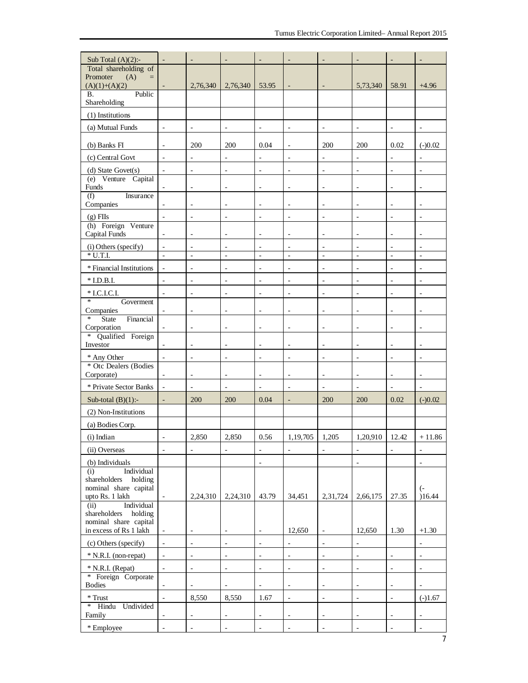| Sub Total $(A)(2)$ :-                           |                          |                              |                              |                              |                          |                          |                              |                          |                             |
|-------------------------------------------------|--------------------------|------------------------------|------------------------------|------------------------------|--------------------------|--------------------------|------------------------------|--------------------------|-----------------------------|
| Total shareholding of                           |                          |                              |                              |                              |                          |                          |                              |                          |                             |
| Promoter<br>(A)<br>$\equiv$<br>$(A)(1)+(A)(2)$  |                          | 2,76,340                     | 2,76,340                     | 53.95                        |                          |                          | 5,73,340                     | 58.91                    | $+4.96$                     |
| Public<br><b>B.</b>                             |                          |                              |                              |                              |                          |                          |                              |                          |                             |
| Shareholding                                    |                          |                              |                              |                              |                          |                          |                              |                          |                             |
| (1) Institutions                                |                          |                              |                              |                              |                          |                          |                              |                          |                             |
| (a) Mutual Funds                                |                          | ÷,                           | $\overline{\phantom{a}}$     | $\sim$                       |                          | $\overline{\phantom{a}}$ | $\overline{\phantom{a}}$     | $\blacksquare$           |                             |
| (b) Banks FI                                    | $\overline{\phantom{a}}$ | 200                          | 200                          | 0.04                         | ÷,                       | 200                      | 200                          | 0.02                     | $(-)0.02$                   |
| (c) Central Govt                                |                          |                              |                              | $\frac{1}{2}$                |                          |                          |                              |                          |                             |
| $(d)$ State Govet $(s)$                         | $\blacksquare$           | ÷                            | ÷                            | $\blacksquare$               | ÷,                       | ÷,                       | $\blacksquare$               | ÷,                       | ÷,                          |
| (e) Venture Capital                             |                          |                              |                              |                              |                          |                          |                              |                          |                             |
| Funds<br>Insurance<br>(f)                       |                          |                              |                              |                              |                          |                          |                              |                          |                             |
| Companies                                       |                          |                              |                              |                              |                          |                          |                              |                          |                             |
| $(g)$ FIIs                                      |                          | $\qquad \qquad \blacksquare$ | $\qquad \qquad \blacksquare$ | $\overline{\phantom{a}}$     | $\overline{\phantom{a}}$ | ÷,                       | $\qquad \qquad \blacksquare$ | ÷,                       | $\overline{\phantom{a}}$    |
| (h) Foreign Venture<br>Capital Funds            |                          |                              |                              |                              |                          |                          |                              |                          |                             |
| (i) Others (specify)                            |                          | L,                           |                              | $\overline{\phantom{a}}$     |                          |                          |                              |                          |                             |
| $*$ U.T.I.                                      | $\overline{a}$           | $\overline{a}$               | L.                           | $\overline{\phantom{a}}$     | $\sim$                   |                          | $\overline{a}$               |                          | $\sim$                      |
| * Financial Institutions                        | $\overline{\phantom{a}}$ | ÷,                           | ÷,                           | $\overline{a}$               | ÷,                       | ÷,                       | ÷,                           | L.                       | ÷,                          |
| $*$ I.D.B.I.                                    | $\sim$                   |                              |                              | ÷,                           |                          |                          |                              |                          |                             |
| $*$ I.C.I.C.I.                                  |                          | L,                           |                              | $\overline{\phantom{a}}$     |                          |                          |                              |                          |                             |
| Governent<br>Companies                          | $\overline{\phantom{a}}$ |                              |                              |                              |                          |                          |                              |                          | $\overline{\phantom{a}}$    |
| State<br>$*$<br>Financial<br>Corporation        |                          | L,                           |                              | ÷,                           |                          |                          |                              |                          |                             |
| * Qualified Foreign                             |                          |                              |                              |                              |                          |                          |                              |                          |                             |
| Investor                                        | $\sim$                   | Ē,                           |                              | ÷,                           |                          |                          |                              |                          |                             |
| * Any Other<br>* Otc Dealers (Bodies            | $\blacksquare$           | $\overline{\phantom{0}}$     | $\overline{\phantom{a}}$     | $\overline{\phantom{a}}$     | $\overline{\phantom{a}}$ | $\overline{\phantom{a}}$ | $\overline{\phantom{a}}$     | $\overline{\phantom{a}}$ | $\overline{\phantom{a}}$    |
| Corporate)                                      |                          |                              |                              |                              |                          |                          |                              |                          |                             |
| * Private Sector Banks                          |                          | ÷,                           | ÷,                           | ÷,                           | ÷,                       | ÷,                       |                              |                          |                             |
| Sub-total $(B)(1)$ :-                           | $\equiv$                 | 200                          | 200                          | 0.04                         | $\blacksquare$           | 200                      | 200                          | 0.02                     | $(-)0.02$                   |
| (2) Non-Institutions                            |                          |                              |                              |                              |                          |                          |                              |                          |                             |
| (a) Bodies Corp.                                |                          |                              |                              |                              |                          |                          |                              |                          |                             |
| (i) Indian                                      |                          | 2,850                        | 2,850                        | 0.56                         | 1,19,705                 | 1,205                    | 1,20,910                     | 12.42                    | $+11.86$                    |
| (ii) Overseas                                   | $\blacksquare$           | ÷,                           | $\frac{1}{2}$                | $\blacksquare$               | $\overline{\phantom{a}}$ | $\blacksquare$           | $\blacksquare$               | $\frac{1}{2}$            | $\overline{\phantom{a}}$    |
| (b) Individuals                                 |                          |                              |                              | $\overline{\phantom{m}}$     |                          |                          | $\qquad \qquad \blacksquare$ |                          |                             |
| Individual<br>(i)<br>shareholders<br>holding    |                          |                              |                              |                              |                          |                          |                              |                          |                             |
| nominal share capital<br>upto Rs. 1 lakh        | $\sigma_{\rm{max}}$      | 2,24,310                     | 2,24,310                     | 43.79                        | 34,451                   | 2,31,724                 | 2,66,175                     | 27.35                    | $\left( -\right)$<br>)16.44 |
| (ii)<br>Individual<br>shareholders holding      |                          |                              |                              |                              |                          |                          |                              |                          |                             |
| nominal share capital<br>in excess of Rs 1 lakh |                          |                              |                              | ÷,                           | 12,650                   |                          | 12,650                       | 1.30                     | $+1.30$                     |
| (c) Others (specify)                            | $\blacksquare$           | ÷,                           |                              | $\Box$                       |                          | $\blacksquare$           |                              |                          |                             |
| * N.R.I. (non-repat)                            |                          | L,                           | $\blacksquare$               |                              | $\blacksquare$           | ÷,                       | $\blacksquare$               | $\bar{\phantom{a}}$      | $\overline{\phantom{a}}$    |
|                                                 | $\blacksquare$           |                              | ÷,                           | $\overline{\phantom{m}}$     | $\overline{\phantom{m}}$ |                          | $\overline{\phantom{a}}$     |                          | $\blacksquare$              |
| * N.R.I. (Repat)<br>* Foreign Corporate         | $\Box$                   | ÷,                           | $\overline{\phantom{a}}$     | $\overline{\phantom{a}}$     | $\blacksquare$           | $\overline{\phantom{a}}$ | $\overline{\phantom{a}}$     | $\bar{\phantom{a}}$      | $\blacksquare$              |
| <b>Bodies</b>                                   | $\blacksquare$           |                              | ÷,                           | $\Box$                       | ÷,                       | ÷,                       | L,                           | ÷,                       | $\overline{\phantom{a}}$    |
| $^\ast$ Trust                                   | $\overline{\phantom{a}}$ | 8,550                        | 8,550                        | 1.67                         | $\overline{\phantom{a}}$ | $\overline{\phantom{a}}$ | $\overline{\phantom{a}}$     | $\overline{\phantom{a}}$ | $(-)1.67$                   |
| * Hindu Undivided<br>Family                     |                          | ÷                            |                              |                              |                          | ÷                        |                              | ÷                        | $\frac{1}{2}$               |
|                                                 | $\overline{\phantom{a}}$ |                              | $\overline{\phantom{m}}$     | ÷                            | $\overline{\phantom{m}}$ |                          | -                            |                          |                             |
| * Employee                                      | ÷,                       | L,                           |                              | $\qquad \qquad \blacksquare$ | $\overline{\phantom{a}}$ | $\overline{\phantom{a}}$ | $\overline{\phantom{a}}$     | $\frac{1}{2}$            | $\overline{\phantom{a}}$    |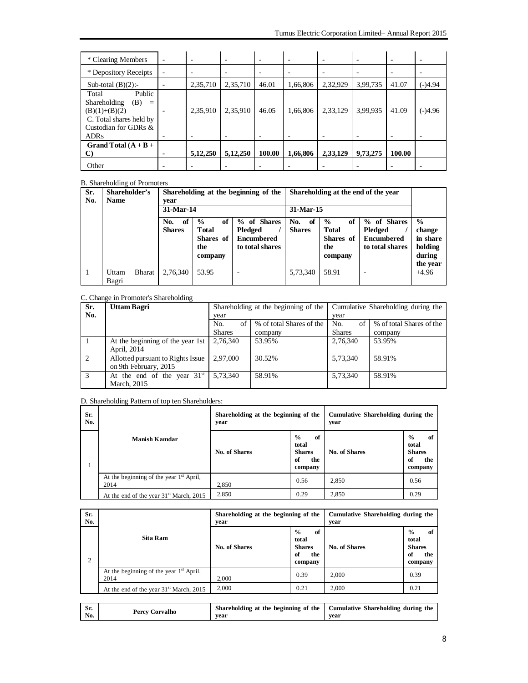| * Clearing Members              |                          | -        |          | -      | ٠        | -        | ٠                        | $\overline{\phantom{a}}$ | $\overline{\phantom{a}}$ |
|---------------------------------|--------------------------|----------|----------|--------|----------|----------|--------------------------|--------------------------|--------------------------|
| * Depository Receipts           |                          | ٠        |          | ٠      | ٠        | -        | ٠                        | $\overline{\phantom{a}}$ | $\overline{\phantom{a}}$ |
| Sub-total $(B)(2)$ :-           | -                        | 2,35,710 | 2,35,710 | 46.01  | 1,66,806 | 2,32,929 | 3,99,735                 | 41.07                    | (-)4.94                  |
| Public<br>Total                 |                          |          |          |        |          |          |                          |                          |                          |
| Shareholding<br>(B)<br>$\equiv$ |                          |          |          |        |          |          |                          |                          |                          |
| $(B)(1)+(B)(2)$                 |                          | 2,35,910 | 2,35,910 | 46.05  | 1.66.806 | 2,33,129 | 3,99,935                 | 41.09                    | (-)4.96                  |
| C. Total shares held by         |                          |          |          |        |          |          |                          |                          |                          |
| Custodian for GDRs &            |                          |          |          |        |          |          |                          |                          |                          |
| <b>ADRs</b>                     | $\overline{\phantom{0}}$ | -        |          | -      | ٠        | ٠        | $\overline{\phantom{a}}$ | $\overline{\phantom{a}}$ | $\overline{\phantom{0}}$ |
| Grand Total $(A + B +$          |                          |          |          |        |          |          |                          |                          |                          |
| C)                              | ۰                        | 5,12,250 | 5,12,250 | 100.00 | 1,66,806 | 2,33,129 | 9,73,275                 | 100.00                   |                          |
| Other                           |                          |          |          |        |          |          |                          |                          |                          |

# B. Shareholding of Promoters

| Sr.<br>No.     | Shareholder's<br><b>Name</b>    | vear                       | Shareholding at the beginning of the<br>31-Mar-14                                                                                    |  |                            | Shareholding at the end of the year<br>31-Mar-15                   |                                                                       |                                                                      |  |
|----------------|---------------------------------|----------------------------|--------------------------------------------------------------------------------------------------------------------------------------|--|----------------------------|--------------------------------------------------------------------|-----------------------------------------------------------------------|----------------------------------------------------------------------|--|
|                |                                 | No.<br>of<br><b>Shares</b> | $\frac{0}{0}$<br>% of Shares<br>of<br><b>Total</b><br>Pledged<br><b>Encumbered</b><br>Shares of<br>to total shares<br>the<br>company |  | No.<br>of<br><b>Shares</b> | $\frac{6}{9}$<br>of<br><b>Total</b><br>Shares of<br>the<br>company | % of Shares<br><b>Pledged</b><br><b>Encumbered</b><br>to total shares | $\frac{6}{9}$<br>change<br>in share<br>holding<br>during<br>the year |  |
| $\overline{1}$ | <b>Bharat</b><br>Uttam<br>Bagri | 2,76,340                   | 53.95                                                                                                                                |  | 5,73,340                   | 58.91                                                              |                                                                       | $+4.96$                                                              |  |

# C. Change in Promoter's Shareholding

| Sr. | <b>Uttam Bagri</b>                                         |               | Shareholding at the beginning of the |               | Cumulative Shareholding during the |  |  |
|-----|------------------------------------------------------------|---------------|--------------------------------------|---------------|------------------------------------|--|--|
| No. |                                                            | vear          |                                      | vear          |                                    |  |  |
|     |                                                            | No.<br>of     | % of total Shares of the             | No.<br>of     | % of total Shares of the           |  |  |
|     |                                                            | <b>Shares</b> | company                              | <b>Shares</b> | company                            |  |  |
|     | At the beginning of the year 1st<br>April, 2014            | 2,76,340      | 53.95%                               | 2,76,340      | 53.95%                             |  |  |
| 2   | Allotted pursuant to Rights Issue<br>on 9th February, 2015 | 2.97,000      | 30.52%                               | 5,73,340      | 58.91%                             |  |  |
| 3   | At the end of the year $31st$<br>March, 2015               | 5.73.340      | 58.91%                               | 5.73.340      | 58.91%                             |  |  |

D. Shareholding Pattern of top ten Shareholders:

| Sr.<br>No. |                                                             | Shareholding at the beginning of the<br>year |                                                                       | Cumulative Shareholding during the<br>vear |                                                                       |  |
|------------|-------------------------------------------------------------|----------------------------------------------|-----------------------------------------------------------------------|--------------------------------------------|-----------------------------------------------------------------------|--|
|            | Manish Kamdar                                               | No. of Shares                                | $\frac{0}{0}$<br>of<br>total<br><b>Shares</b><br>of<br>the<br>company | No. of Shares                              | $\frac{6}{9}$<br>of<br>total<br><b>Shares</b><br>of<br>the<br>company |  |
|            | At the beginning of the year 1 <sup>st</sup> April,<br>2014 | 2,850                                        | 0.56                                                                  | 2,850                                      | 0.56                                                                  |  |
|            | At the end of the year 31 <sup>st</sup> March, 2015         | 2,850                                        | 0.29                                                                  | 2,850                                      | 0.29                                                                  |  |

| Sr.<br>No. |                                                   | Shareholding at the beginning of the<br>vear |                                                                       | Cumulative Shareholding during the<br>vear |                                                                       |
|------------|---------------------------------------------------|----------------------------------------------|-----------------------------------------------------------------------|--------------------------------------------|-----------------------------------------------------------------------|
| 2          | Sita Ram                                          | No. of Shares                                | $\frac{0}{0}$<br>of<br>total<br><b>Shares</b><br>of<br>the<br>company | No. of Shares                              | $\frac{0}{0}$<br>of<br>total<br><b>Shares</b><br>of<br>the<br>company |
|            | At the beginning of the year $1st$ April,<br>2014 | 2.000                                        | 0.39                                                                  | 2.000                                      | 0.39                                                                  |
|            | At the end of the year $31st$ March, 2015         | 2.000                                        | 0.21                                                                  | 2.000                                      | 0.21                                                                  |

| Sr. | Percy Corvalho | Shareholding at the beginning of the | Cumulative Shareholding during the |
|-----|----------------|--------------------------------------|------------------------------------|
| No. |                | vear                                 | vear                               |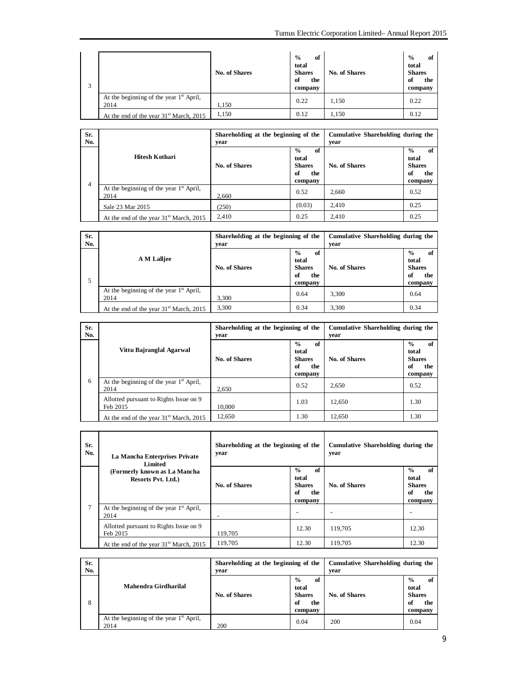| 3 |                                                     | No. of Shares | $\frac{0}{0}$<br>of<br>total<br><b>Shares</b><br>of<br>the<br>company | <b>No. of Shares</b> | $\frac{0}{0}$<br>of<br>total<br><b>Shares</b><br>of<br>the<br>company |
|---|-----------------------------------------------------|---------------|-----------------------------------------------------------------------|----------------------|-----------------------------------------------------------------------|
|   | At the beginning of the year $1st$ April,<br>2014   | 1,150         | 0.22                                                                  | 1.150                | 0.22                                                                  |
|   | At the end of the year 31 <sup>st</sup> March, 2015 | 1.150         | 0.12                                                                  | 1.150                | 0.12                                                                  |

| Sr.<br>No. |                                                             | Shareholding at the beginning of the<br>vear |                                                                       | Cumulative Shareholding during the<br>year |                                                                       |
|------------|-------------------------------------------------------------|----------------------------------------------|-----------------------------------------------------------------------|--------------------------------------------|-----------------------------------------------------------------------|
| 4          | Hitesh Kothari                                              | No. of Shares                                | $\frac{0}{0}$<br>of<br>total<br><b>Shares</b><br>of<br>the<br>company | No. of Shares                              | $\frac{0}{0}$<br>оf<br>total<br><b>Shares</b><br>of<br>the<br>company |
|            | At the beginning of the year 1 <sup>st</sup> April,<br>2014 | 2,660                                        | 0.52                                                                  | 2.660                                      | 0.52                                                                  |
|            | Sale 23 Mar 2015                                            | (250)                                        | (0.03)                                                                | 2,410                                      | 0.25                                                                  |
|            | At the end of the year 31 <sup>st</sup> March, 2015         | 2,410                                        | 0.25                                                                  | 2,410                                      | 0.25                                                                  |

| Sr.<br>No. |                                                     | Shareholding at the beginning of the<br>vear |                                                                       | Cumulative Shareholding during the<br>vear |                                                                       |
|------------|-----------------------------------------------------|----------------------------------------------|-----------------------------------------------------------------------|--------------------------------------------|-----------------------------------------------------------------------|
|            | A M Lalliee                                         | No. of Shares                                | $\frac{0}{0}$<br>of<br>total<br><b>Shares</b><br>of<br>the<br>company | No. of Shares                              | $\frac{6}{6}$<br>of<br>total<br><b>Shares</b><br>of<br>the<br>company |
|            | At the beginning of the year $1st$ April,<br>2014   | 3.300                                        | 0.64                                                                  | 3.300                                      | 0.64                                                                  |
|            | At the end of the year 31 <sup>st</sup> March, 2015 | 3.300                                        | 0.34                                                                  | 3.300                                      | 0.34                                                                  |

| Sr.<br>No. |                                                     | Shareholding at the beginning of the<br>vear |                                                                       | Cumulative Shareholding during the<br>vear |                                                                       |
|------------|-----------------------------------------------------|----------------------------------------------|-----------------------------------------------------------------------|--------------------------------------------|-----------------------------------------------------------------------|
|            | Vittu Bajranglal Agarwal                            | No. of Shares                                | $\frac{0}{0}$<br>of<br>total<br><b>Shares</b><br>of<br>the<br>company | No. of Shares                              | $\frac{6}{9}$<br>of<br>total<br><b>Shares</b><br>of<br>the<br>company |
| 6          | At the beginning of the year $1st$ April,<br>2014   | 2.650                                        | 0.52                                                                  | 2.650                                      | 0.52                                                                  |
|            | Allotted pursuant to Rights Issue on 9<br>Feb 2015  | 10,000                                       | 1.03                                                                  | 12.650                                     | 1.30                                                                  |
|            | At the end of the year 31 <sup>st</sup> March, 2015 | 12,650                                       | 1.30                                                                  | 12,650                                     | 1.30                                                                  |

| Sr.<br>No. | La Mancha Enterprises Private<br>Limited<br>(Formerly known as La Mancha)<br>Resorts Pvt. Ltd.) | Shareholding at the beginning of the<br>vear |                                                                       | Cumulative Shareholding during the<br>vear |                                                                       |
|------------|-------------------------------------------------------------------------------------------------|----------------------------------------------|-----------------------------------------------------------------------|--------------------------------------------|-----------------------------------------------------------------------|
|            |                                                                                                 | No. of Shares                                | of<br>$\frac{0}{0}$<br>total<br><b>Shares</b><br>of<br>the<br>company | No. of Shares                              | $\frac{6}{6}$<br>of<br>total<br><b>Shares</b><br>of<br>the<br>company |
|            | At the beginning of the year $1st$ April,<br>2014                                               |                                              |                                                                       | $\overline{\phantom{a}}$                   |                                                                       |
|            | Allotted pursuant to Rights Issue on 9<br>Feb 2015                                              | 119.705                                      | 12.30                                                                 | 119.705                                    | 12.30                                                                 |
|            | At the end of the year $31st$ March, 2015                                                       | 119.705                                      | 12.30                                                                 | 119.705                                    | 12.30                                                                 |

| Sr.<br>No. |                                                   | Shareholding at the beginning of the<br>vear |                                                                       | Cumulative Shareholding during the<br>vear |                                                                       |
|------------|---------------------------------------------------|----------------------------------------------|-----------------------------------------------------------------------|--------------------------------------------|-----------------------------------------------------------------------|
| 8          | Mahendra Girdharilal                              | No. of Shares                                | $\frac{0}{0}$<br>of<br>total<br><b>Shares</b><br>of<br>the<br>company | No. of Shares                              | $\frac{0}{0}$<br>of<br>total<br><b>Shares</b><br>of<br>the<br>company |
|            | At the beginning of the year $1st$ April,<br>2014 | 200                                          | 0.04                                                                  | 200                                        | 0.04                                                                  |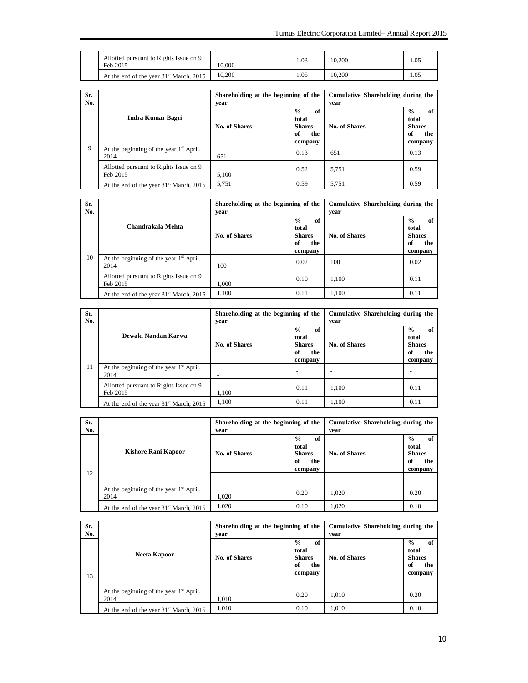| Allotted pursuant to Rights Issue on 9<br>Feb 2015  | 10.000 | 1.03 | 10.200 | 1.05 |
|-----------------------------------------------------|--------|------|--------|------|
| At the end of the year 31 <sup>st</sup> March, 2015 | 10.200 | 1.05 | 10.200 | 1.05 |

| Sr.<br>No. |                                                    | Shareholding at the beginning of the<br>year |                                                                       | Cumulative Shareholding during the<br>vear |                                                                       |
|------------|----------------------------------------------------|----------------------------------------------|-----------------------------------------------------------------------|--------------------------------------------|-----------------------------------------------------------------------|
| 9          | Indra Kumar Bagri                                  | No. of Shares                                | $\frac{0}{0}$<br>of<br>total<br><b>Shares</b><br>of<br>the<br>company | No. of Shares                              | $\frac{6}{6}$<br>of<br>total<br><b>Shares</b><br>of<br>the<br>company |
|            | At the beginning of the year $1st$ April,<br>2014  | 651                                          | 0.13                                                                  | 651                                        | 0.13                                                                  |
|            | Allotted pursuant to Rights Issue on 9<br>Feb 2015 | 5.100                                        | 0.52                                                                  | 5.751                                      | 0.59                                                                  |
|            | At the end of the year $31st$ March, 2015          | 5.751                                        | 0.59                                                                  | 5.751                                      | 0.59                                                                  |

| Sr.<br>No. |                                                    | Shareholding at the beginning of the<br>vear |                                                                       | Cumulative Shareholding during the<br>vear |                                                                       |
|------------|----------------------------------------------------|----------------------------------------------|-----------------------------------------------------------------------|--------------------------------------------|-----------------------------------------------------------------------|
|            | Chandrakala Mehta                                  | No. of Shares                                | $\frac{6}{9}$<br>of<br>total<br><b>Shares</b><br>of<br>the<br>company | No. of Shares                              | $\frac{0}{0}$<br>of<br>total<br><b>Shares</b><br>of<br>the<br>company |
| 10         | At the beginning of the year $1st$ April,<br>2014  | 100                                          | 0.02                                                                  | 100                                        | 0.02                                                                  |
|            | Allotted pursuant to Rights Issue on 9<br>Feb 2015 | 1.000                                        | 0.10                                                                  | 1.100                                      | 0.11                                                                  |
|            | At the end of the year $31st$ March, 2015          | 1.100                                        | 0.11                                                                  | 1.100                                      | 0.11                                                                  |

| Sr.<br>No. |                                                     | Shareholding at the beginning of the<br>vear |                                                                       | Cumulative Shareholding during the<br>vear |                                                                       |
|------------|-----------------------------------------------------|----------------------------------------------|-----------------------------------------------------------------------|--------------------------------------------|-----------------------------------------------------------------------|
|            | Dewaki Nandan Karwa                                 | No. of Shares                                | $\frac{0}{0}$<br>of<br>total<br><b>Shares</b><br>of<br>the<br>company | No. of Shares                              | $\frac{6}{9}$<br>оf<br>total<br><b>Shares</b><br>of<br>the<br>company |
| 11         | At the beginning of the year $1st$ April,<br>2014   |                                              |                                                                       | $\overline{\phantom{0}}$                   |                                                                       |
|            | Allotted pursuant to Rights Issue on 9<br>Feb 2015  | 1.100                                        | 0.11                                                                  | 1.100                                      | 0.11                                                                  |
|            | At the end of the year 31 <sup>st</sup> March, 2015 | 1.100                                        | 0.11                                                                  | 1.100                                      | 0.11                                                                  |

| Sr.<br>No. |                                                     | Shareholding at the beginning of the<br>year |                                                                       | Cumulative Shareholding during the<br>vear |                                                                       |
|------------|-----------------------------------------------------|----------------------------------------------|-----------------------------------------------------------------------|--------------------------------------------|-----------------------------------------------------------------------|
|            | Kishore Rani Kapoor                                 | No. of Shares                                | $\frac{6}{9}$<br>of<br>total<br><b>Shares</b><br>of<br>the<br>company | No. of Shares                              | $\frac{6}{6}$<br>оf<br>total<br><b>Shares</b><br>of<br>the<br>company |
| 12         |                                                     |                                              |                                                                       |                                            |                                                                       |
|            | At the beginning of the year $1st$ April,<br>2014   | 1.020                                        | 0.20                                                                  | 1.020                                      | 0.20                                                                  |
|            | At the end of the year 31 <sup>st</sup> March, 2015 | 1.020                                        | 0.10                                                                  | 1.020                                      | 0.10                                                                  |

| Sr.<br>No. |                                                     | Shareholding at the beginning of the<br>vear |                                                                       | Cumulative Shareholding during the<br>vear |                                                                       |
|------------|-----------------------------------------------------|----------------------------------------------|-----------------------------------------------------------------------|--------------------------------------------|-----------------------------------------------------------------------|
|            | Neeta Kapoor                                        | No. of Shares                                | $\frac{0}{0}$<br>of<br>total<br><b>Shares</b><br>of<br>the<br>company | No. of Shares                              | $\frac{0}{0}$<br>of<br>total<br><b>Shares</b><br>of<br>the<br>company |
| 13         |                                                     |                                              |                                                                       |                                            |                                                                       |
|            | At the beginning of the year $1st$ April,<br>2014   | 1.010                                        | 0.20                                                                  | 1.010                                      | 0.20                                                                  |
|            | At the end of the year 31 <sup>st</sup> March, 2015 | 1.010                                        | 0.10                                                                  | 1.010                                      | 0.10                                                                  |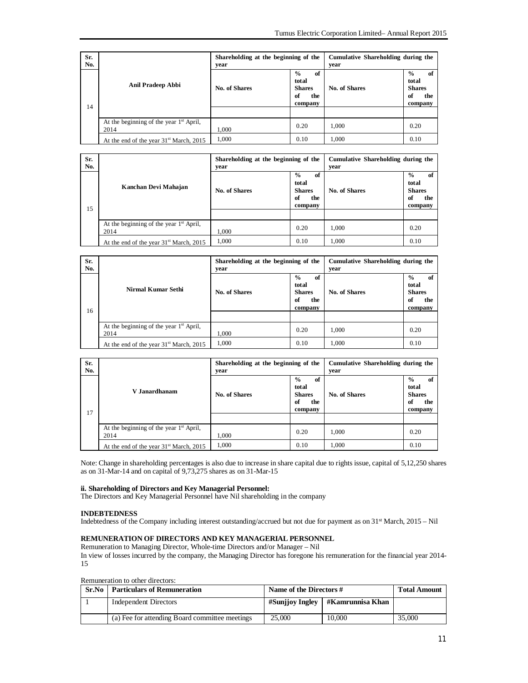| Sr.<br>No. |                                                     | Shareholding at the beginning of the<br>year |                                                                       | Cumulative Shareholding during the<br>vear |                                                                       |
|------------|-----------------------------------------------------|----------------------------------------------|-----------------------------------------------------------------------|--------------------------------------------|-----------------------------------------------------------------------|
| 14         | Anil Pradeep Abbi                                   | No. of Shares                                | $\frac{6}{9}$<br>of<br>total<br><b>Shares</b><br>of<br>the<br>company | No. of Shares                              | $\frac{0}{0}$<br>of<br>total<br><b>Shares</b><br>of<br>the<br>company |
|            |                                                     |                                              |                                                                       |                                            |                                                                       |
|            | At the beginning of the year $1st$ April,<br>2014   | 1.000                                        | 0.20                                                                  | 1.000                                      | 0.20                                                                  |
|            | At the end of the year 31 <sup>st</sup> March, 2015 | 1.000                                        | 0.10                                                                  | 1.000                                      | 0.10                                                                  |

| Sr.<br>No. |                                                     | Shareholding at the beginning of the<br>vear |                                                                       | Cumulative Shareholding during the<br>vear |                                                                       |
|------------|-----------------------------------------------------|----------------------------------------------|-----------------------------------------------------------------------|--------------------------------------------|-----------------------------------------------------------------------|
| 15         | Kanchan Devi Mahajan                                | No. of Shares                                | $\frac{0}{0}$<br>of<br>total<br><b>Shares</b><br>of<br>the<br>company | No. of Shares                              | $\frac{6}{9}$<br>of<br>total<br><b>Shares</b><br>of<br>the<br>company |
|            | At the beginning of the year $1st$ April,<br>2014   | 1.000                                        | 0.20                                                                  | 1.000                                      | 0.20                                                                  |
|            | At the end of the year 31 <sup>st</sup> March, 2015 | 1.000                                        | 0.10                                                                  | 1.000                                      | 0.10                                                                  |

| Sr.<br>No. |                                                     | Shareholding at the beginning of the<br>vear |                                                                       | Cumulative Shareholding during the<br>vear |                                                                       |
|------------|-----------------------------------------------------|----------------------------------------------|-----------------------------------------------------------------------|--------------------------------------------|-----------------------------------------------------------------------|
|            | Nirmal Kumar Sethi                                  | No. of Shares                                | $\frac{0}{0}$<br>of<br>total<br><b>Shares</b><br>of<br>the<br>company | No. of Shares                              | $\frac{0}{0}$<br>of<br>total<br><b>Shares</b><br>of<br>the<br>company |
| 16         | At the beginning of the year $1st$ April,<br>2014   | 1.000                                        | 0.20                                                                  | 1.000                                      | 0.20                                                                  |
|            | At the end of the year 31 <sup>st</sup> March, 2015 | 1.000                                        | 0.10                                                                  | 1.000                                      | 0.10                                                                  |

| Sr.<br>No. |                                                             | Shareholding at the beginning of the<br>vear |                                                                       | Cumulative Shareholding during the<br>vear |                                                                       |
|------------|-------------------------------------------------------------|----------------------------------------------|-----------------------------------------------------------------------|--------------------------------------------|-----------------------------------------------------------------------|
|            | V Janardhanam                                               | No. of Shares                                | of<br>$\frac{0}{0}$<br>total<br><b>Shares</b><br>of<br>the<br>company | No. of Shares                              | $\frac{0}{0}$<br>of<br>total<br><b>Shares</b><br>of<br>the<br>company |
| 17         |                                                             |                                              |                                                                       |                                            |                                                                       |
|            | At the beginning of the year 1 <sup>st</sup> April,<br>2014 | 1.000                                        | 0.20                                                                  | 1.000                                      | 0.20                                                                  |
|            | At the end of the year 31 <sup>st</sup> March, 2015         | 1.000                                        | 0.10                                                                  | 1.000                                      | 0.10                                                                  |

Note: Change in shareholding percentages is also due to increase in share capital due to rights issue, capital of 5,12,250 shares as on 31-Mar-14 and on capital of 9,73,275 shares as on 31-Mar-15

# **ii. Shareholding of Directors and Key Managerial Personnel:**

The Directors and Key Managerial Personnel have Nil shareholding in the company

### **INDEBTEDNESS**

Indebtedness of the Company including interest outstanding/accrued but not due for payment as on 31<sup>st</sup> March, 2015 – Nil

## **REMUNERATION OF DIRECTORS AND KEY MANAGERIAL PERSONNEL**

Remuneration to Managing Director, Whole-time Directors and/or Manager – Nil

In view of losses incurred by the company, the Managing Director has foregone his remuneration for the financial year 2014- 15

| Sr.No | <b>Particulars of Remuneration</b>             |        | Name of the Directors #                  |        |
|-------|------------------------------------------------|--------|------------------------------------------|--------|
|       | <b>Independent Directors</b>                   |        | $#S$ unjjoy Ingley   $#K$ amrunnisa Khan |        |
|       | (a) Fee for attending Board committee meetings | 25,000 | 10.000                                   | 35,000 |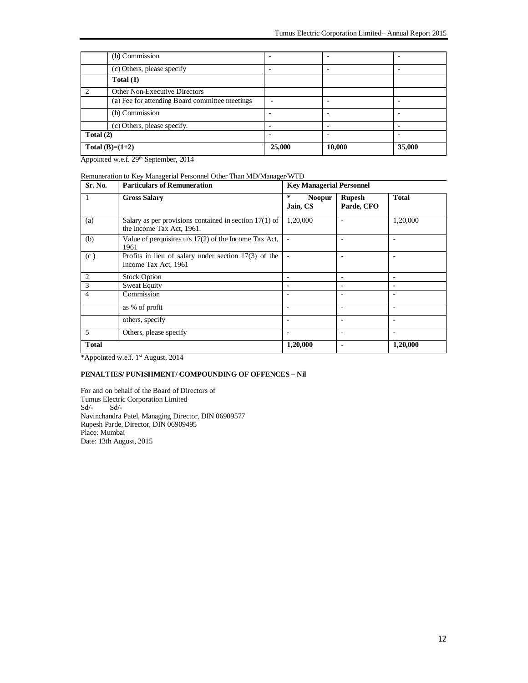|                   | (b) Commission                                 |        |                          |        |
|-------------------|------------------------------------------------|--------|--------------------------|--------|
|                   | (c) Others, please specify                     | -      | $\overline{\phantom{0}}$ |        |
|                   | Total(1)                                       |        |                          |        |
|                   | Other Non-Executive Directors                  |        |                          |        |
|                   | (a) Fee for attending Board committee meetings |        |                          |        |
|                   | (b) Commission                                 |        |                          |        |
|                   | (c) Others, please specify.                    | -      | $\overline{\phantom{0}}$ |        |
| Total $(2)$       |                                                |        |                          |        |
| Total $(B)=(1+2)$ |                                                | 25,000 | 10,000                   | 35,000 |

Appointed w.e.f. 29<sup>th</sup> September, 2014

Remuneration to Key Managerial Personnel Other Than MD/Manager/WTD

| Sr. No.        | <b>Particulars of Remuneration</b>                                                    | <b>Key Managerial Personnel</b>     |                             |                          |
|----------------|---------------------------------------------------------------------------------------|-------------------------------------|-----------------------------|--------------------------|
|                | <b>Gross Salary</b>                                                                   | $\ast$<br><b>Noopur</b><br>Jain, CS | <b>Rupesh</b><br>Parde, CFO | <b>Total</b>             |
| (a)            | Salary as per provisions contained in section $17(1)$ of<br>the Income Tax Act, 1961. | 1,20,000                            |                             | 1,20,000                 |
| (b)            | Value of perquisites $u/s$ 17(2) of the Income Tax Act,<br>1961                       |                                     |                             |                          |
| (c)            | Profits in lieu of salary under section $17(3)$ of the<br>Income Tax Act, 1961        |                                     |                             |                          |
| $\overline{2}$ | <b>Stock Option</b>                                                                   | $\overline{\phantom{a}}$            | ٠                           | $\overline{\phantom{a}}$ |
| 3              | <b>Sweat Equity</b>                                                                   |                                     |                             |                          |
| 4              | Commission                                                                            | $\overline{\phantom{a}}$            |                             |                          |
|                | as % of profit                                                                        | $\overline{\phantom{a}}$            | ٠                           | $\overline{\phantom{a}}$ |
|                | others, specify                                                                       | $\overline{\phantom{a}}$            |                             |                          |
| 5              | Others, please specify                                                                | $\overline{\phantom{a}}$            | ٠                           | $\overline{\phantom{a}}$ |
| <b>Total</b>   |                                                                                       | 1,20,000                            |                             | 1,20,000                 |

\*Appointed w.e.f. 1 st August, 2014

# **PENALTIES/ PUNISHMENT/ COMPOUNDING OF OFFENCES – Nil**

For and on behalf of the Board of Directors of Tumus Electric Corporation Limited  $\mbox{Sd}/\mbox{-}$ Navinchandra Patel, Managing Director, DIN 06909577 Rupesh Parde, Director, DIN 06909495 Place: Mumbai Date: 13th August, 2015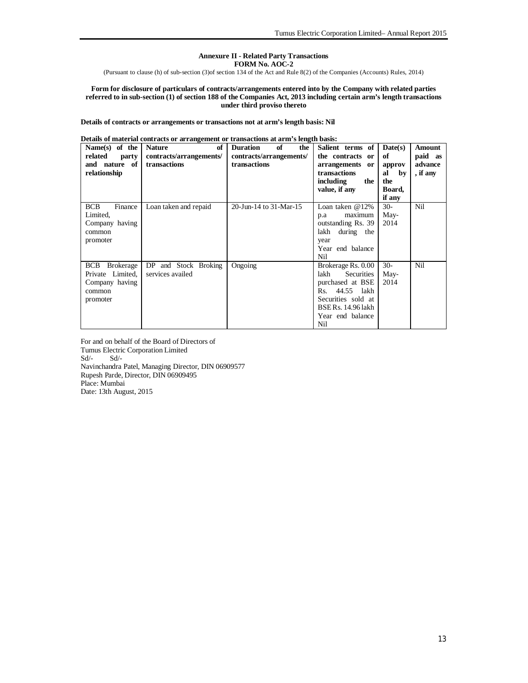### **Annexure II - Related Party Transactions FORM No. AOC-2**

(Pursuant to clause (h) of sub-section (3)of section 134 of the Act and Rule 8(2) of the Companies (Accounts) Rules, 2014)

### **Form for disclosure of particulars of contracts/arrangements entered into by the Company with related parties referred to in sub-section (1) of section 188 of the Companies Act, 2013 including certain arm's length transactions under third proviso thereto**

**Details of contracts or arrangements or transactions not at arm's length basis: Nil**

### **Details of material contracts or arrangement or transactions at arm's length basis:**

| Name(s) of the<br>related<br>party<br>and nature of<br>relationship          | of<br><b>Nature</b><br>contracts/arrangements/<br>transactions | <b>Duration</b><br>of<br>the<br>contracts/arrangements/<br>transactions | Salient terms of<br>the contracts or<br>arrangements or<br>transactions<br>including<br>the<br>value, if any                                                  | Date(s)<br>of<br>approv<br>al<br>bv<br>the<br>Board,<br>if any | <b>Amount</b><br>paid as<br>advance<br>, if any |
|------------------------------------------------------------------------------|----------------------------------------------------------------|-------------------------------------------------------------------------|---------------------------------------------------------------------------------------------------------------------------------------------------------------|----------------------------------------------------------------|-------------------------------------------------|
| BCB<br>Finance<br>Limited.<br>Company having<br>common<br>promoter           | Loan taken and repaid                                          | 20-Jun-14 to 31-Mar-15                                                  | Loan taken $@12\%$<br>maximum<br>p.a<br>outstanding Rs. 39<br>lakh<br>during the<br>year<br>Year end balance<br>Nil                                           | $30-$<br>May-<br>2014                                          | Nil                                             |
| BCB<br>Brokerage<br>Private Limited,<br>Company having<br>common<br>promoter | DP and Stock Broking<br>services availed                       | Ongoing                                                                 | Brokerage Rs. 0.00<br>lakh<br>Securities<br>purchased at BSE<br>44.55 lakh<br>Rs.<br>Securities sold at<br><b>BSERs.</b> 14.961akh<br>Year end balance<br>Nil | $30-$<br>May-<br>2014                                          | Nil                                             |

For and on behalf of the Board of Directors of Tumus Electric Corporation Limited  $Sd/-$ Navinchandra Patel, Managing Director, DIN 06909577 Rupesh Parde, Director, DIN 06909495 Place: Mumbai Date: 13th August, 2015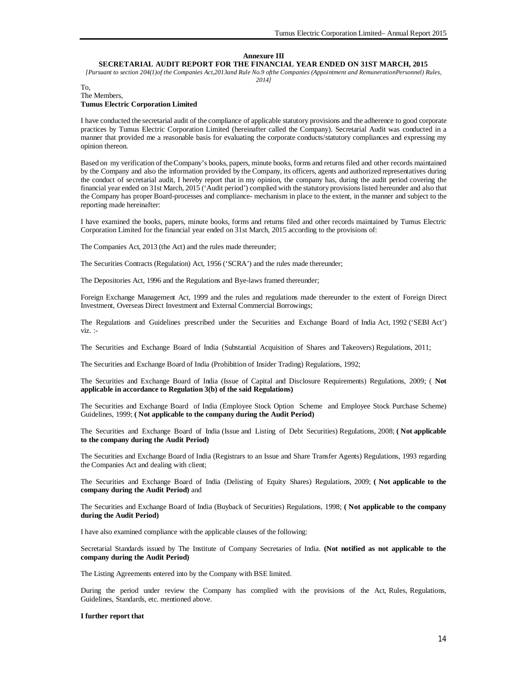#### **Annexure III**

## **SECRETARIAL AUDIT REPORT FOR THE FINANCIAL YEAR ENDED ON 31ST MARCH, 2015**

*[Pursuant to section 204(1)of the Companies Act,2013and Rule No.9 ofthe Companies (Appointment and RemunerationPersonnel) Rules,* 

*2014]*

### To, The Members, **Tumus Electric Corporation Limited**

I have conducted the secretarial audit of the compliance of applicable statutory provisions and the adherence to good corporate practices by Tumus Electric Corporation Limited (hereinafter called the Company). Secretarial Audit was conducted in a manner that provided me a reasonable basis for evaluating the corporate conducts/statutory compliances and expressing my opinion thereon.

Based on my verification of theCompany's books, papers, minute books, forms and returns filed and other records maintained by the Company and also the information provided by the Company, its officers, agents and authorized representatives during the conduct of secretarial audit, I hereby report that in my opinion, the company has, during the audit period covering the financial year ended on 31st March, 2015 ('Audit period') complied with the statutory provisions listed hereunder and also that the Company has proper Board-processes and compliance- mechanism in place to the extent, in the manner and subject to the reporting made hereinafter:

I have examined the books, papers, minute books, forms and returns filed and other records maintained by Tumus Electric Corporation Limited for the financial year ended on 31st March, 2015 according to the provisions of:

The Companies Act, 2013 (the Act) and the rules made thereunder;

The Securities Contracts (Regulation) Act, 1956 ('SCRA') and the rules made thereunder;

The Depositories Act, 1996 and the Regulations and Bye-laws framed thereunder;

Foreign Exchange Management Act, 1999 and the rules and regulations made thereunder to the extent of Foreign Direct Investment, Overseas Direct Investment and External Commercial Borrowings;

The Regulations and Guidelines prescribed under the Securities and Exchange Board of India Act, 1992 ('SEBI Act') viz. :-

The Securities and Exchange Board of India (Substantial Acquisition of Shares and Takeovers) Regulations, 2011;

The Securities and Exchange Board of India (Prohibition of Insider Trading) Regulations, 1992;

The Securities and Exchange Board of India (Issue of Capital and Disclosure Requirements) Regulations, 2009; ( **Not applicable in accordance to Regulation 3(b) of the said Regulations)** 

The Securities and Exchange Board of India (Employee Stock Option Scheme and Employee Stock Purchase Scheme) Guidelines, 1999; **( Not applicable to the company during the Audit Period)**

The Securities and Exchange Board of India (Issue and Listing of Debt Securities) Regulations, 2008; **( Not applicable to the company during the Audit Period)**

The Securities and Exchange Board of India (Registrars to an Issue and Share Transfer Agents) Regulations, 1993 regarding the Companies Act and dealing with client;

The Securities and Exchange Board of India (Delisting of Equity Shares) Regulations, 2009; **( Not applicable to the company during the Audit Period)** and

The Securities and Exchange Board of India (Buyback of Securities) Regulations, 1998; **( Not applicable to the company during the Audit Period)**

I have also examined compliance with the applicable clauses of the following:

Secretarial Standards issued by The Institute of Company Secretaries of India. **(Not notified as not applicable to the company during the Audit Period)**

The Listing Agreements entered into by the Company with BSE limited.

During the period under review the Company has complied with the provisions of the Act, Rules, Regulations, Guidelines, Standards, etc. mentioned above.

### **I further report that**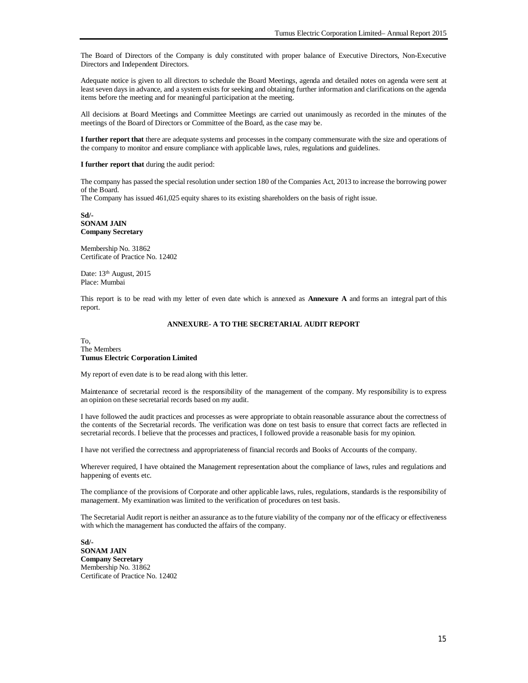The Board of Directors of the Company is duly constituted with proper balance of Executive Directors, Non-Executive Directors and Independent Directors.

Adequate notice is given to all directors to schedule the Board Meetings, agenda and detailed notes on agenda were sent at least seven days in advance, and a system exists for seeking and obtaining further information and clarifications on the agenda items before the meeting and for meaningful participation at the meeting.

All decisions at Board Meetings and Committee Meetings are carried out unanimously as recorded in the minutes of the meetings of the Board of Directors or Committee of the Board, as the case may be.

**I further report that** there are adequate systems and processes in the company commensurate with the size and operations of the company to monitor and ensure compliance with applicable laws, rules, regulations and guidelines.

### **I further report that** during the audit period:

The company has passed the special resolution under section 180 of the Companies Act, 2013 to increase the borrowing power of the Board.

The Company has issued 461,025 equity shares to its existing shareholders on the basis of right issue.

### **Sd/- SONAM JAIN Company Secretary**

Membership No. 31862 Certificate of Practice No. 12402

Date: 13<sup>th</sup> August, 2015 Place: Mumbai

This report is to be read with my letter of even date which is annexed as **Annexure A** and forms an integral part of this report.

### **ANNEXURE- A TO THE SECRETARIAL AUDIT REPORT**

To,

# The Members **Tumus Electric Corporation Limited**

My report of even date is to be read along with this letter.

Maintenance of secretarial record is the responsibility of the management of the company. My responsibility is to express an opinion on these secretarial records based on my audit.

I have followed the audit practices and processes as were appropriate to obtain reasonable assurance about the correctness of the contents of the Secretarial records. The verification was done on test basis to ensure that correct facts are reflected in secretarial records. I believe that the processes and practices, I followed provide a reasonable basis for my opinion.

I have not verified the correctness and appropriateness of financial records and Books of Accounts of the company.

Wherever required, I have obtained the Management representation about the compliance of laws, rules and regulations and happening of events etc.

The compliance of the provisions of Corporate and other applicable laws, rules, regulations, standards is the responsibility of management. My examination was limited to the verification of procedures on test basis.

The Secretarial Audit report is neither an assurance as to the future viability of the company nor of the efficacy or effectiveness with which the management has conducted the affairs of the company.

**Sd/- SONAM JAIN Company Secretary** Membership No. 31862 Certificate of Practice No. 12402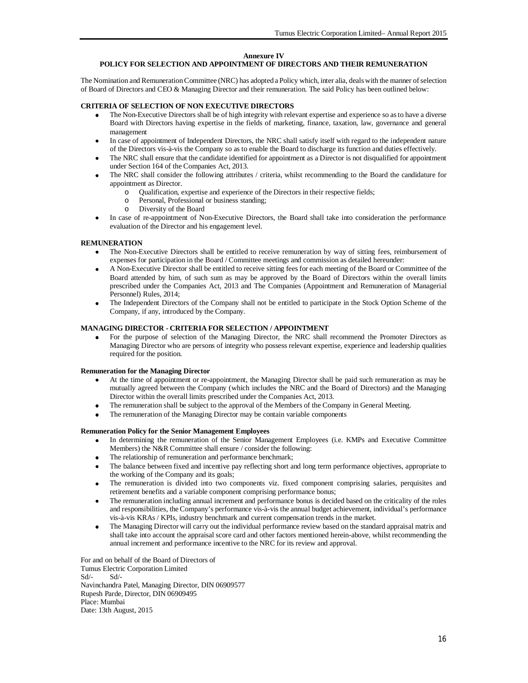### **Annexure IV**

# **POLICY FOR SELECTION AND APPOINTMENT OF DIRECTORS AND THEIR REMUNERATION**

The Nomination and Remuneration Committee (NRC) has adopted a Policy which, inter alia, deals with the manner of selection of Board of Directors and CEO & Managing Director and their remuneration. The said Policy has been outlined below:

### **CRITERIA OF SELECTION OF NON EXECUTIVE DIRECTORS**

- The Non-Executive Directors shall be of high integrity with relevant expertise and experience so as to have a diverse Board with Directors having expertise in the fields of marketing, finance, taxation, law, governance and general management
- $\bullet$ In case of appointment of Independent Directors, the NRC shall satisfy itself with regard to the independent nature of the Directors vis-à-vis the Company so as to enable the Board to discharge its function and duties effectively.
- The NRC shall ensure that the candidate identified for appointment as a Director is not disqualified for appointment  $\bullet$ under Section 164 of the Companies Act, 2013.
- The NRC shall consider the following attributes / criteria, whilst recommending to the Board the candidature for appointment as Director.
	- o Qualification, expertise and experience of the Directors in their respective fields;
	- o Personal, Professional or business standing;
	- o Diversity of the Board
- In case of re-appointment of Non-Executive Directors, the Board shall take into consideration the performance  $\bullet$ evaluation of the Director and his engagement level.

### **REMUNERATION**

- The Non-Executive Directors shall be entitled to receive remuneration by way of sitting fees, reimbursement of expenses for participation in the Board / Committee meetings and commission as detailed hereunder:
- $\bullet$ A Non-Executive Director shall be entitled to receive sitting fees for each meeting of the Board or Committee of the Board attended by him, of such sum as may be approved by the Board of Directors within the overall limits prescribed under the Companies Act, 2013 and The Companies (Appointment and Remuneration of Managerial Personnel) Rules, 2014;
- The Independent Directors of the Company shall not be entitled to participate in the Stock Option Scheme of the Company, if any, introduced by the Company.

## **MANAGING DIRECTOR - CRITERIA FOR SELECTION / APPOINTMENT**

For the purpose of selection of the Managing Director, the NRC shall recommend the Promoter Directors as Managing Director who are persons of integrity who possess relevant expertise, experience and leadership qualities required for the position.

### **Remuneration for the Managing Director**

- At the time of appointment or re-appointment, the Managing Director shall be paid such remuneration as may be mutually agreed between the Company (which includes the NRC and the Board of Directors) and the Managing Director within the overall limits prescribed under the Companies Act, 2013.
- The remuneration shall be subject to the approval of the Members of the Company in General Meeting.
- The remuneration of the Managing Director may be contain variable components  $\bullet$

### **Remuneration Policy for the Senior Management Employees**

- In determining the remuneration of the Senior Management Employees (i.e. KMPs and Executive Committee  $\bullet$ Members) the N&R Committee shall ensure / consider the following:
- The relationship of remuneration and performance benchmark;
- The balance between fixed and incentive pay reflecting short and long term performance objectives, appropriate to the working of the Company and its goals;
- The remuneration is divided into two components viz. fixed component comprising salaries, perquisites and  $\bullet$ retirement benefits and a variable component comprising performance bonus;
- $\bullet$ The remuneration including annual increment and performance bonus is decided based on the criticality of the roles and responsibilities, the Company's performance vis-à-vis the annual budget achievement, individual's performance vis-à-vis KRAs / KPIs, industry benchmark and current compensation trends in the market.
- The Managing Director will carry out the individual performance review based on the standard appraisal matrix and  $\bullet$ shall take into account the appraisal score card and other factors mentioned herein-above, whilst recommending the annual increment and performance incentive to the NRC for its review and approval.

For and on behalf of the Board of Directors of Tumus Electric Corporation Limited Sd/- Sd/- Navinchandra Patel, Managing Director, DIN 06909577 Rupesh Parde, Director, DIN 06909495 Place: Mumbai Date: 13th August, 2015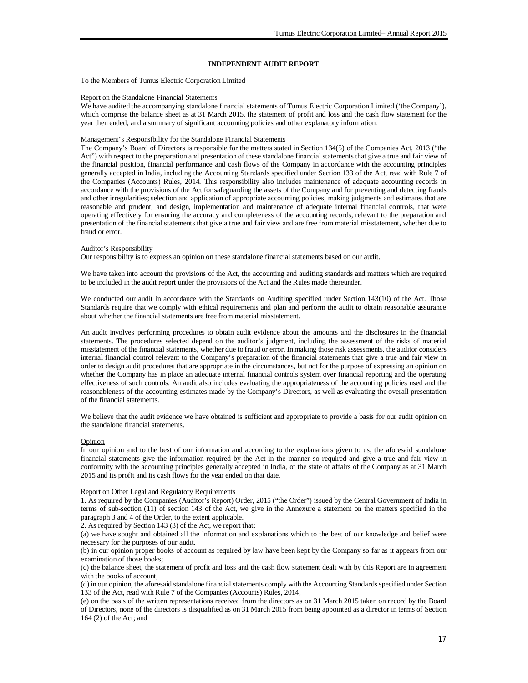### **INDEPENDENT AUDIT REPORT**

To the Members of Tumus Electric Corporation Limited

### Report on the Standalone Financial Statements

We have audited the accompanying standalone financial statements of Tumus Electric Corporation Limited ('the Company'), which comprise the balance sheet as at 31 March 2015, the statement of profit and loss and the cash flow statement for the year then ended, and a summary of significant accounting policies and other explanatory information.

### Management's Responsibility for the Standalone Financial Statements

The Company's Board of Directors is responsible for the matters stated in Section 134(5) of the Companies Act, 2013 ("the Act") with respect to the preparation and presentation of these standalone financial statements that give a true and fair view of the financial position, financial performance and cash flows of the Company in accordance with the accounting principles generally accepted in India, including the Accounting Standards specified under Section 133 of the Act, read with Rule 7 of the Companies (Accounts) Rules, 2014. This responsibility also includes maintenance of adequate accounting records in accordance with the provisions of the Act for safeguarding the assets of the Company and for preventing and detecting frauds and other irregularities; selection and application of appropriate accounting policies; making judgments and estimates that are reasonable and prudent; and design, implementation and maintenance of adequate internal financial controls, that were operating effectively for ensuring the accuracy and completeness of the accounting records, relevant to the preparation and presentation of the financial statements that give a true and fair view and are free from material misstatement, whether due to fraud or error.

### Auditor's Responsibility

Our responsibility is to express an opinion on these standalone financial statements based on our audit.

We have taken into account the provisions of the Act, the accounting and auditing standards and matters which are required to be included in the audit report under the provisions of the Act and the Rules made thereunder.

We conducted our audit in accordance with the Standards on Auditing specified under Section 143(10) of the Act. Those Standards require that we comply with ethical requirements and plan and perform the audit to obtain reasonable assurance about whether the financial statements are free from material misstatement.

An audit involves performing procedures to obtain audit evidence about the amounts and the disclosures in the financial statements. The procedures selected depend on the auditor's judgment, including the assessment of the risks of material misstatement of the financial statements, whether due to fraud or error. In making those risk assessments, the auditor considers internal financial control relevant to the Company's preparation of the financial statements that give a true and fair view in order to design audit procedures that are appropriate in the circumstances, but not for the purpose of expressing an opinion on whether the Company has in place an adequate internal financial controls system over financial reporting and the operating effectiveness of such controls. An audit also includes evaluating the appropriateness of the accounting policies used and the reasonableness of the accounting estimates made by the Company's Directors, as well as evaluating the overall presentation of the financial statements.

We believe that the audit evidence we have obtained is sufficient and appropriate to provide a basis for our audit opinion on the standalone financial statements.

### Opinion

In our opinion and to the best of our information and according to the explanations given to us, the aforesaid standalone financial statements give the information required by the Act in the manner so required and give a true and fair view in conformity with the accounting principles generally accepted in India, of the state of affairs of the Company as at 31 March 2015 and its profit and its cash flows for the year ended on that date.

### Report on Other Legal and Regulatory Requirements

1. As required by the Companies (Auditor's Report) Order, 2015 ("the Order") issued by the Central Government of India in terms of sub-section (11) of section 143 of the Act, we give in the Annexure a statement on the matters specified in the paragraph 3 and 4 of the Order, to the extent applicable.

2. As required by Section 143 (3) of the Act, we report that:

(a) we have sought and obtained all the information and explanations which to the best of our knowledge and belief were necessary for the purposes of our audit.

(b) in our opinion proper books of account as required by law have been kept by the Company so far as it appears from our examination of those books;

(c) the balance sheet, the statement of profit and loss and the cash flow statement dealt with by this Report are in agreement with the books of account;

(d) in our opinion, the aforesaid standalone financial statements comply with the Accounting Standards specified under Section 133 of the Act, read with Rule 7 of the Companies (Accounts) Rules, 2014;

(e) on the basis of the written representations received from the directors as on 31 March 2015 taken on record by the Board of Directors, none of the directors is disqualified as on 31 March 2015 from being appointed as a director in terms of Section 164 (2) of the Act; and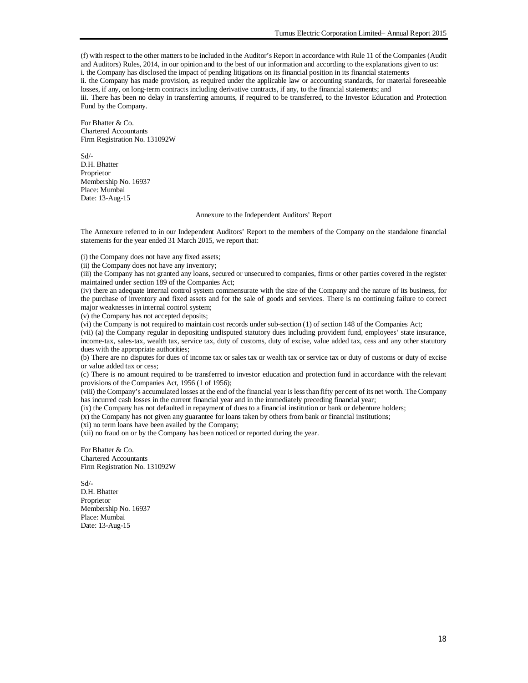(f) with respect to the other matters to be included in the Auditor's Report in accordance with Rule 11 of the Companies (Audit and Auditors) Rules, 2014, in our opinion and to the best of our information and according to the explanations given to us: i. the Company has disclosed the impact of pending litigations on its financial position in its financial statements ii. the Company has made provision, as required under the applicable law or accounting standards, for material foreseeable losses, if any, on long-term contracts including derivative contracts, if any, to the financial statements; and iii. There has been no delay in transferring amounts, if required to be transferred, to the Investor Education and Protection Fund by the Company.

For Bhatter & Co. Chartered Accountants Firm Registration No. 131092W

Sd/- D.H. Bhatter Proprietor Membership No. 16937 Place: Mumbai Date: 13-Aug-15

### Annexure to the Independent Auditors' Report

The Annexure referred to in our Independent Auditors' Report to the members of the Company on the standalone financial statements for the year ended 31 March 2015, we report that:

(i) the Company does not have any fixed assets;

(ii) the Company does not have any inventory;

(iii) the Company has not granted any loans, secured or unsecured to companies, firms or other parties covered in the register maintained under section 189 of the Companies Act;

(iv) there an adequate internal control system commensurate with the size of the Company and the nature of its business, for the purchase of inventory and fixed assets and for the sale of goods and services. There is no continuing failure to correct major weaknesses in internal control system;

(v) the Company has not accepted deposits;

(vi) the Company is not required to maintain cost records under sub-section (1) of section 148 of the Companies Act;

(vii) (a) the Company regular in depositing undisputed statutory dues including provident fund, employees' state insurance, income-tax, sales-tax, wealth tax, service tax, duty of customs, duty of excise, value added tax, cess and any other statutory dues with the appropriate authorities;

(b) There are no disputes for dues of income tax or sales tax or wealth tax or service tax or duty of customs or duty of excise or value added tax or cess;

(c) There is no amount required to be transferred to investor education and protection fund in accordance with the relevant provisions of the Companies Act, 1956 (1 of 1956);

(viii) the Company's accumulated losses at the end of the financial year isless than fifty per cent of its net worth. The Company has incurred cash losses in the current financial year and in the immediately preceding financial year;

(ix) the Company has not defaulted in repayment of dues to a financial institution or bank or debenture holders;

(x) the Company has not given any guarantee for loans taken by others from bank or financial institutions;

(xi) no term loans have been availed by the Company;

(xii) no fraud on or by the Company has been noticed or reported during the year.

For Bhatter & Co. Chartered Accountants Firm Registration No. 131092W

Sd/- D.H. Bhatter Proprietor Membership No. 16937 Place: Mumbai Date: 13-Aug-15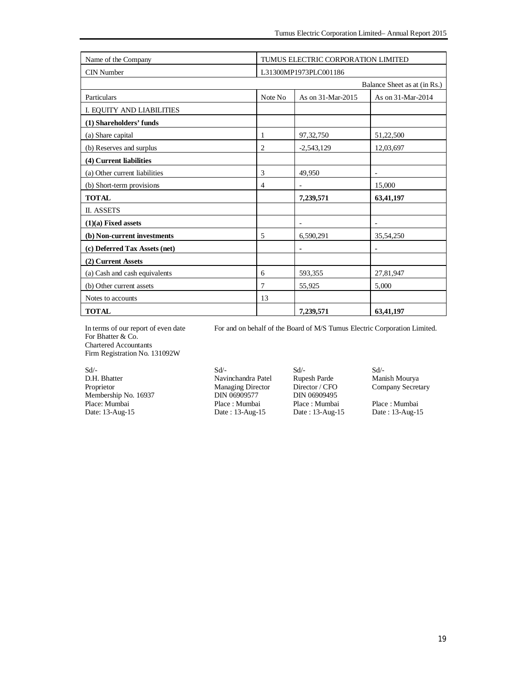| Name of the Company           | TUMUS ELECTRIC CORPORATION LIMITED |                              |                              |  |  |
|-------------------------------|------------------------------------|------------------------------|------------------------------|--|--|
| <b>CIN Number</b>             |                                    | L31300MP1973PLC001186        |                              |  |  |
|                               |                                    |                              | Balance Sheet as at (in Rs.) |  |  |
| Particulars                   | Note No.                           | As on 31-Mar-2015            | As on 31-Mar-2014            |  |  |
| I. EQUITY AND LIABILITIES     |                                    |                              |                              |  |  |
| (1) Shareholders' funds       |                                    |                              |                              |  |  |
| (a) Share capital             | 1                                  | 97, 32, 750                  | 51,22,500                    |  |  |
| (b) Reserves and surplus      | 2                                  | $-2,543,129$                 | 12,03,697                    |  |  |
| (4) Current liabilities       |                                    |                              |                              |  |  |
| (a) Other current liabilities | 3                                  | 49,950                       | -                            |  |  |
| (b) Short-term provisions     | 4                                  |                              | 15,000                       |  |  |
| <b>TOTAL</b>                  |                                    | 7,239,571                    | 63,41,197                    |  |  |
| <b>II. ASSETS</b>             |                                    |                              |                              |  |  |
| $(1)(a)$ Fixed assets         |                                    | $\qquad \qquad \blacksquare$ | $\overline{\phantom{0}}$     |  |  |
| (b) Non-current investments   | 5                                  | 6,590,291                    | 35,54,250                    |  |  |
| (c) Deferred Tax Assets (net) |                                    | ٠                            | ٠                            |  |  |
| (2) Current Assets            |                                    |                              |                              |  |  |
| (a) Cash and cash equivalents | 6                                  | 593,355                      | 27,81,947                    |  |  |
| (b) Other current assets      | 7                                  | 55,925                       | 5,000                        |  |  |
| Notes to accounts             | 13                                 |                              |                              |  |  |
| <b>TOTAL</b>                  |                                    | 7,239,571                    | 63,41,197                    |  |  |

In terms of our report of even date For Bhatter & Co. Chartered Accountants Firm Registration No. 131092W

For and on behalf of the Board of M/S Tumus Electric Corporation Limited.

 $Sd/-$ D.H. Bhatter Proprietor Membership No. 16937 Place: Mumbai Date: 13-Aug-15

Sd/- Navinchandra Patel Managing Director DIN 06909577 Place : Mumbai Date : 13-Aug-15

Sd/- Rupesh Parde Director / CFO DIN 06909495 Place : Mumbai Date : 13-Aug-15 Sd/- Manish Mourya Company Secretary

Place : Mumbai Date : 13-Aug-15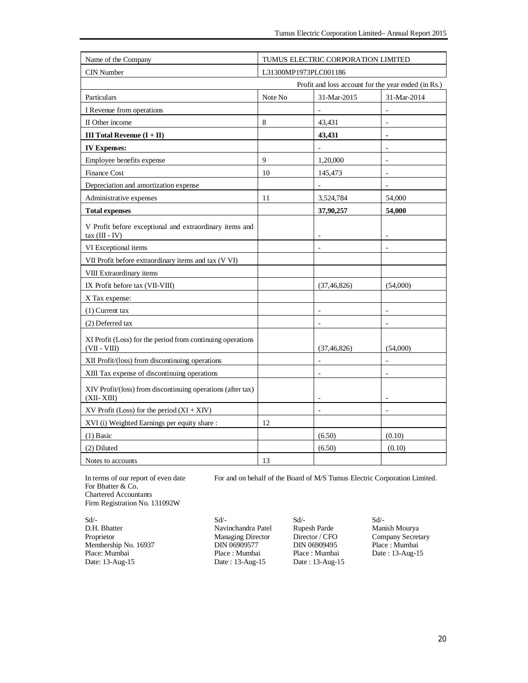| Name of the Company                                                               | TUMUS ELECTRIC CORPORATION LIMITED                  |                          |                |  |
|-----------------------------------------------------------------------------------|-----------------------------------------------------|--------------------------|----------------|--|
| CIN Number                                                                        | L31300MP1973PLC001186                               |                          |                |  |
|                                                                                   | Profit and loss account for the year ended (in Rs.) |                          |                |  |
| Particulars                                                                       | 31-Mar-2015<br>31-Mar-2014<br>Note No               |                          |                |  |
| I Revenue from operations                                                         |                                                     | $\bar{\phantom{a}}$      | $\bar{a}$      |  |
| II Other income                                                                   | 8                                                   | 43,431                   | ÷              |  |
| <b>III Total Revenue <math>(I + II)</math></b>                                    |                                                     | 43,431                   | ÷,             |  |
| <b>IV Expenses:</b>                                                               |                                                     |                          | $\blacksquare$ |  |
| Employee benefits expense                                                         | $\mathbf{Q}$                                        | 1,20,000                 | ÷.             |  |
| Finance Cost                                                                      | 10                                                  | 145,473                  | ÷              |  |
| Depreciation and amortization expense                                             |                                                     | $\overline{a}$           | ÷,             |  |
| Administrative expenses                                                           | 11                                                  | 3,524,784                | 54,000         |  |
| <b>Total expenses</b>                                                             |                                                     | 37,90,257                | 54,000         |  |
| V Profit before exceptional and extraordinary items and<br>$tax$ ( $III$ - $IV$ ) |                                                     | $\overline{a}$           | $\overline{a}$ |  |
| VI Exceptional items                                                              |                                                     | $\overline{\phantom{a}}$ | $\overline{a}$ |  |
| VII Profit before extraordinary items and tax (V VI)                              |                                                     |                          |                |  |
| VIII Extraordinary items                                                          |                                                     |                          |                |  |
| IX Profit before tax (VII-VIII)                                                   |                                                     | (37, 46, 826)            | (54,000)       |  |
| X Tax expense:                                                                    |                                                     |                          |                |  |
| $(1)$ Current tax                                                                 |                                                     |                          |                |  |
| (2) Deferred tax                                                                  |                                                     | $\sim$                   | ä,             |  |
| XI Profit (Loss) for the period from continuing operations<br>$(VII - VIII)$      |                                                     | (37, 46, 826)            | (54,000)       |  |
| XII Profit/(loss) from discontinuing operations                                   |                                                     | $\overline{\phantom{a}}$ | ÷,             |  |
| XIII Tax expense of discontinuing operations                                      |                                                     | $\overline{\phantom{a}}$ | ÷,             |  |
| XIV Profit/(loss) from discontinuing operations (after tax)<br>$(XII - XIII)$     |                                                     |                          |                |  |
| $XY$ Profit (Loss) for the period $(XI + XIV)$                                    |                                                     | $\blacksquare$           | $\overline{a}$ |  |
| XVI (i) Weighted Earnings per equity share:                                       | 12                                                  |                          |                |  |
| $(1)$ Basic                                                                       |                                                     | (6.50)                   | (0.10)         |  |
| (2) Diluted                                                                       |                                                     | (6.50)                   | (0.10)         |  |
| Notes to accounts                                                                 | 13                                                  |                          |                |  |

In terms of our report of even date For Bhatter & Co. Chartered Accountants Firm Registration No. 131092W

 $Sd\prime-$ D.H. Bhatter Proprietor Membership No. 16937 Place: Mumbai Date: 13-Aug-15

For and on behalf of the Board of M/S Tumus Electric Corporation Limited.

 $Sd\prime$  -Navinchandra Patel Managing Director DIN 06909577 Place : Mumbai Date : 13-Aug-15

Sd/- Rupesh Parde Director / CFO DIN 06909495 Place : Mumbai Date : 13-Aug-15 Sd/- Manish Mourya Company Secretary Place : Mumbai Date : 13-Aug-15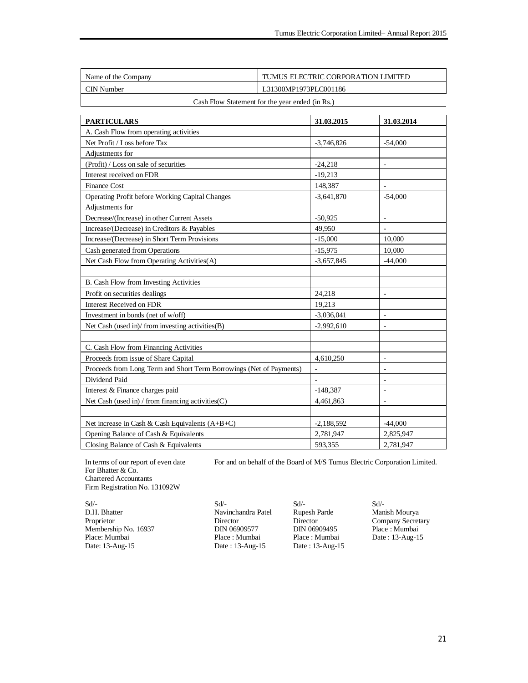| Name of the Company | TUMUS ELECTRIC CORPORATION LIMITED |
|---------------------|------------------------------------|
| CIN Number          | L31300MP1973PLC001186              |

Cash Flow Statement for the year ended (in Rs.)

| <b>PARTICULARS</b>                                                  | 31.03.2015     | 31.03.2014               |
|---------------------------------------------------------------------|----------------|--------------------------|
| A. Cash Flow from operating activities                              |                |                          |
| Net Profit / Loss before Tax                                        | $-3,746,826$   | $-54,000$                |
| Adjustments for                                                     |                |                          |
| (Profit) / Loss on sale of securities                               | $-24,218$      |                          |
| Interest received on FDR                                            | $-19,213$      |                          |
| <b>Finance Cost</b>                                                 | 148,387        | $\overline{\phantom{a}}$ |
| Operating Profit before Working Capital Changes                     | $-3,641,870$   | $-54,000$                |
| Adjustments for                                                     |                |                          |
| Decrease/(Increase) in other Current Assets                         | $-50,925$      |                          |
| Increase/(Decrease) in Creditors & Payables                         | 49,950         |                          |
| Increase/(Decrease) in Short Term Provisions                        | $-15,000$      | 10,000                   |
| Cash generated from Operations                                      | $-15,975$      | 10,000                   |
| Net Cash Flow from Operating Activities(A)                          | $-3,657,845$   | $-44,000$                |
|                                                                     |                |                          |
| B. Cash Flow from Investing Activities                              |                |                          |
| Profit on securities dealings                                       | 24,218         | $\overline{\phantom{a}}$ |
| <b>Interest Received on FDR</b>                                     | 19,213         |                          |
| Investment in bonds (net of w/off)                                  | $-3,036,041$   | $\overline{\phantom{a}}$ |
| Net Cash (used in)/ from investing activities(B)                    | $-2,992,610$   |                          |
|                                                                     |                |                          |
| C. Cash Flow from Financing Activities                              |                |                          |
| Proceeds from issue of Share Capital                                | 4,610,250      |                          |
| Proceeds from Long Term and Short Term Borrowings (Net of Payments) | $\blacksquare$ | $\overline{\phantom{a}}$ |
| Dividend Paid                                                       |                | $\overline{\phantom{a}}$ |
| Interest & Finance charges paid                                     | $-148,387$     | $\overline{\phantom{a}}$ |
| Net Cash (used in) / from financing activities $(C)$                | 4,461,863      | $\overline{\phantom{a}}$ |
|                                                                     |                |                          |
| Net increase in Cash & Cash Equivalents $(A+B+C)$                   | $-2,188,592$   | $-44,000$                |
| Opening Balance of Cash & Equivalents                               | 2,781,947      | 2,825,947                |
| Closing Balance of Cash & Equivalents                               | 593.355        | 2,781,947                |

In terms of our report of even date For Bhatter & Co. Chartered Accountants Firm Registration No. 131092W

For and on behalf of the Board of M/S Tumus Electric Corporation Limited.

| $Sd$ /-               | $Sd/-$             | $Sd/-$          | $Sd$ /-                  |
|-----------------------|--------------------|-----------------|--------------------------|
| D.H. Bhatter          | Navinchandra Patel | Rupesh Parde    | Manish Mourya            |
| Proprietor            | Director           | Director        | <b>Company Secretary</b> |
| Membership No. 16937  | DIN 06909577       | DIN 06909495    | Place: Mumbai            |
| Place: Mumbai         | Place: Mumbai      | Place: Mumbai   | Date: 13-Aug-15          |
| Date: $13$ -Aug- $15$ | Date: $13$ -Aug-15 | Date: 13-Aug-15 |                          |
|                       |                    |                 |                          |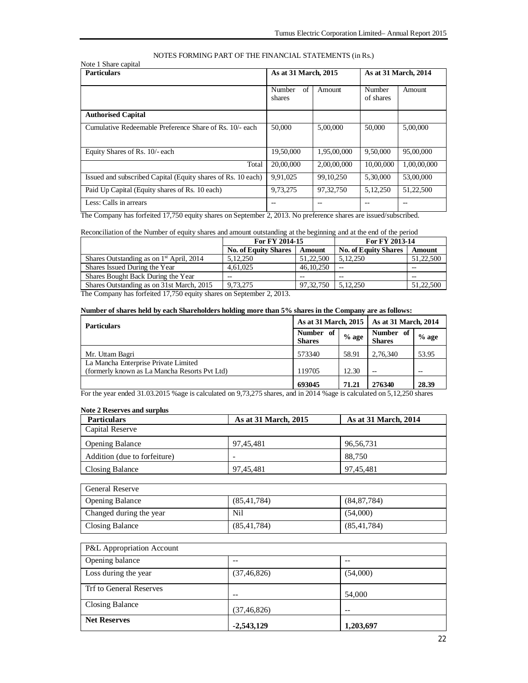# NOTES FORMING PART OF THE FINANCIAL STATEMENTS (in Rs.)

| Note 1 Share capital                                         |                        |             |                      |             |
|--------------------------------------------------------------|------------------------|-------------|----------------------|-------------|
| <b>Particulars</b>                                           | As at 31 March, 2015   |             | As at 31 March, 2014 |             |
|                                                              | of<br>Number<br>shares | Amount      | Number<br>of shares  | Amount      |
| <b>Authorised Capital</b>                                    |                        |             |                      |             |
| Cumulative Redeemable Preference Share of Rs. 10/- each      | 50,000                 | 5,00,000    | 50,000               | 5,00,000    |
| Equity Shares of Rs. 10/- each                               | 19,50,000              | 1,95,00,000 | 9.50,000             | 95,00,000   |
| Total                                                        | 20,00,000              | 2,00,00,000 | 10,00,000            | 1,00,00,000 |
| Issued and subscribed Capital (Equity shares of Rs. 10 each) | 9,91,025               | 99, 10, 250 | 5,30,000             | 53,00,000   |
| Paid Up Capital (Equity shares of Rs. 10 each)               | 9,73,275               | 97, 32, 750 | 5, 12, 250           | 51,22,500   |
| Less: Calls in arrears                                       |                        |             | --                   |             |

The Company has forfeited 17,750 equity shares on September 2, 2013. No preference shares are issued/subscribed.

# Reconciliation of the Number of equity shares and amount outstanding at the beginning and at the end of the period

|                                            | For FY 2014-15              |               | For FY 2013-14              |           |
|--------------------------------------------|-----------------------------|---------------|-----------------------------|-----------|
|                                            | <b>No. of Equity Shares</b> | <b>Amount</b> | <b>No. of Equity Shares</b> | Amount    |
| Shares Outstanding as on $1st$ April, 2014 | 5,12,250                    | 51,22,500     | 5, 12, 250                  | 51,22,500 |
| Shares Issued During the Year              | 4.61.025                    | 46, 10, 250   |                             |           |
| Shares Bought Back During the Year         | --                          |               | $- -$                       |           |
| Shares Outstanding as on 31st March, 2015  | 9.73.275                    | 97.32.750     | 5.12.250                    | 51,22,500 |

The Company has forfeited 17,750 equity shares on September 2, 2013.

## **Number of shares held by each Shareholders holding more than 5% shares in the Company are as follows:**

| <b>Particulars</b>                            | As at 31 March, 2015       |         | $\vert$ As at 31 March, 2014 |         |
|-----------------------------------------------|----------------------------|---------|------------------------------|---------|
|                                               | Number of<br><b>Shares</b> | $%$ age | Number of<br><b>Shares</b>   | $%$ age |
| Mr. Uttam Bagri                               | 573340                     | 58.91   | 2,76,340                     | 53.95   |
| La Mancha Enterprise Private Limited          |                            |         |                              |         |
| (formerly known as La Mancha Resorts Pvt Ltd) | 119705                     | 12.30   | --                           | $-$     |
|                                               | 693045                     | 71.21   | 276340                       | 28.39   |

For the year ended 31.03.2015 %age is calculated on 9,73,275 shares, and in 2014 %age is calculated on 5,12,250 shares

### **Note 2 Reserves and surplus**

| <b>Particulars</b>           | As at 31 March, 2015 | As at 31 March, 2014 |
|------------------------------|----------------------|----------------------|
| Capital Reserve              |                      |                      |
| <b>Opening Balance</b>       | 97.45.481            | 96,56,731            |
| Addition (due to forfeiture) | -                    | 88.750               |
| Closing Balance              | 97.45.481            | 97.45.481            |

| <b>General Reserve</b>  |               |               |
|-------------------------|---------------|---------------|
| <b>Opening Balance</b>  | (85, 41, 784) | (84, 87, 784) |
| Changed during the year | Nil           | (54,000)      |
| Closing Balance         | (85, 41, 784) | (85, 41, 784) |

| P&L Appropriation Account |               |           |
|---------------------------|---------------|-----------|
| Opening balance           |               |           |
| Loss during the year      | (37, 46, 826) | (54,000)  |
| Trf to General Reserves   | --            | 54,000    |
| Closing Balance           | (37, 46, 826) | --        |
| <b>Net Reserves</b>       | $-2,543,129$  | 1,203,697 |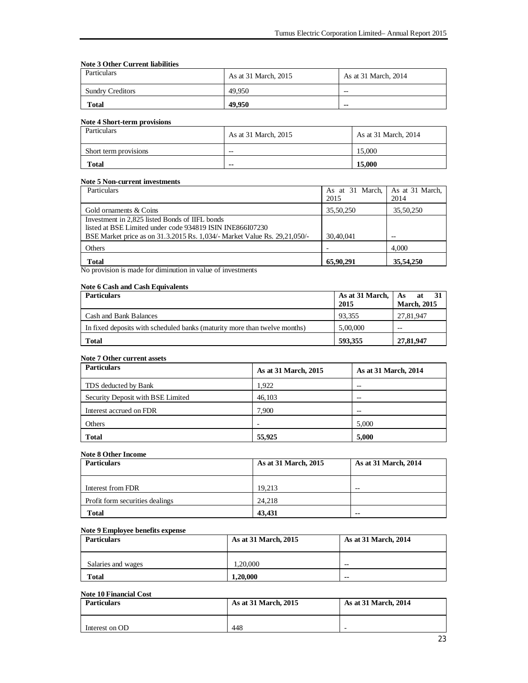# **Note 3 Other Current liabilities**

| Particulars             | As at 31 March, 2015 | As at 31 March, 2014 |
|-------------------------|----------------------|----------------------|
| <b>Sundry Creditors</b> | 49.950               | $- -$                |
| <b>Total</b>            | 49.950               | --                   |

# **Note 4 Short-term provisions**

| Particulars           | As at 31 March, 2015 | As at 31 March, 2014 |
|-----------------------|----------------------|----------------------|
| Short term provisions | $- -$                | 15.000               |
| Total                 | --                   | 15,000               |

## **Note 5 Non-current investments**

| Particulars                                                                                                                                                                              | As at 31 March, As at 31 March,<br>2015 | 2014      |
|------------------------------------------------------------------------------------------------------------------------------------------------------------------------------------------|-----------------------------------------|-----------|
| Gold ornaments & Coins                                                                                                                                                                   | 35,50,250                               | 35,50,250 |
| Investment in 2.825 listed Bonds of IIFL bonds<br>listed at BSE Limited under code 934819 ISIN INE866I07230<br>BSE Market price as on 31.3.2015 Rs. 1,034/- Market Value Rs. 29,21,050/- | 30.40.041                               |           |
| Others                                                                                                                                                                                   |                                         | 4.000     |
| Total                                                                                                                                                                                    | 65,90,291                               | 35,54,250 |

No provision is made for diminution in value of investments

# **Note 6 Cash and Cash Equivalents**

| <b>Particulars</b>                                                        | As at 31 March, $\vert$ | at 31<br>As        |
|---------------------------------------------------------------------------|-------------------------|--------------------|
|                                                                           | 2015                    | <b>March, 2015</b> |
| Cash and Bank Balances                                                    | 93.355                  | 27,81,947          |
| In fixed deposits with scheduled banks (maturity more than twelve months) | 5,00,000                | $- -$              |
| <b>Total</b>                                                              | 593.355                 | 27,81,947          |

# **Note 7 Other current assets**

| <b>Particulars</b>                | As at 31 March, 2015 | As at 31 March, 2014 |
|-----------------------------------|----------------------|----------------------|
| TDS deducted by Bank              | 1.922                | --                   |
| Security Deposit with BSE Limited | 46,103               | --                   |
| Interest accrued on FDR           | 7.900                | --                   |
| Others                            |                      | 5,000                |
| <b>Total</b>                      | 55,925               | 5,000                |

# **Note 8 Other Income**

| <b>Particulars</b>              | As at 31 March, 2015 | As at 31 March, 2014 |
|---------------------------------|----------------------|----------------------|
| Interest from FDR               | 19.213               | $- -$                |
| Profit form securities dealings | 24.218               |                      |
| <b>Total</b>                    | 43,431               | --                   |

## **Note 9 Employee benefits expense**

| <b>Particulars</b> | As at 31 March, 2015 | As at 31 March, 2014 |
|--------------------|----------------------|----------------------|
| Salaries and wages | 1.20.000             | $- -$                |
| <b>Total</b>       | 1,20,000             | --                   |

# **Note 10 Financial Cost**

| <b>Particulars</b> | As at 31 March, 2015 | As at 31 March, 2014     |
|--------------------|----------------------|--------------------------|
| Interest on OD     | 448                  | $\overline{\phantom{0}}$ |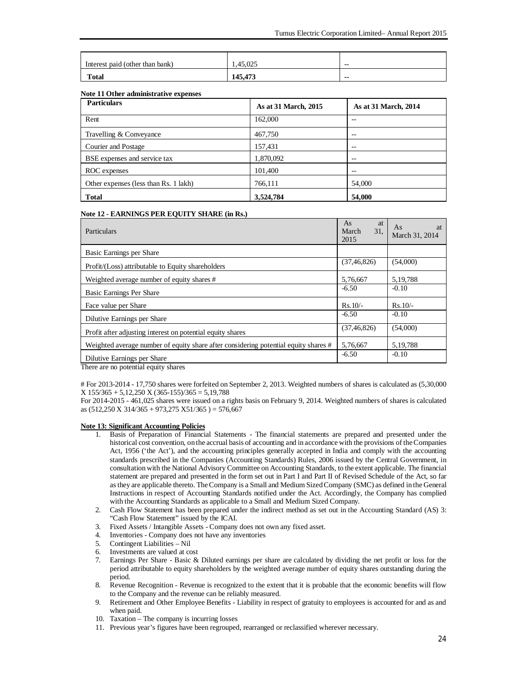| Interest paid (other than bank) | 1.45.025 | $- -$ |
|---------------------------------|----------|-------|
| <b>Total</b>                    | 145,473  | --    |

### **Note 11 Other administrative expenses**

| <b>Particulars</b>                    | As at 31 March, 2015 | As at 31 March, 2014 |
|---------------------------------------|----------------------|----------------------|
| Rent                                  | 162,000              |                      |
| Travelling & Conveyance               | 467,750              | $- -$                |
| Courier and Postage                   | 157,431              | $- -$                |
| BSE expenses and service tax          | 1,870,092            |                      |
| ROC expenses                          | 101,400              |                      |
| Other expenses (less than Rs. 1 lakh) | 766,111              | 54,000               |
| <b>Total</b>                          | 3,524,784            | 54,000               |

## **Note 12 - EARNINGS PER EQUITY SHARE (in Rs.)**

| <b>Particulars</b>                                                                  | As<br>at<br>31.<br>March<br>2015 | As<br>at<br>March 31, 2014 |
|-------------------------------------------------------------------------------------|----------------------------------|----------------------------|
| Basic Earnings per Share                                                            |                                  |                            |
| Profit/(Loss) attributable to Equity shareholders                                   | (37, 46, 826)                    | (54,000)                   |
| Weighted average number of equity shares #                                          | 5.76.667                         | 5.19.788                   |
| Basic Earnings Per Share                                                            | $-6.50$                          | $-0.10$                    |
| Face value per Share                                                                | $Rs.10/-$                        | $Rs.10/-$                  |
| Dilutive Earnings per Share                                                         | $-6.50$                          | $-0.10$                    |
| Profit after adjusting interest on potential equity shares                          | (37, 46, 826)                    | (54,000)                   |
| Weighted average number of equity share after considering potential equity shares # | 5.76.667                         | 5.19.788                   |
| Dilutive Earnings per Share                                                         | $-6.50$                          | $-0.10$                    |

There are no potential equity shares

# For 2013-2014 - 17,750 shares were forfeited on September 2, 2013. Weighted numbers of shares is calculated as (5,30,000 X 155/365 + 5,12,250 X (365-155)/365 = 5,19,788

For 2014-2015 - 461,025 shares were issued on a rights basis on February 9, 2014. Weighted numbers of shares is calculated as  $(512,250 \text{ X } 314/365 + 973,275 \text{ X}51/365) = 576,667$ 

## **Note 13: Significant Accounting Policies**

- 1. Basis of Preparation of Financial Statements The financial statements are prepared and presented under the historical cost convention, on the accrual basis of accounting and in accordance with the provisions of the Companies Act, 1956 ('the Act'), and the accounting principles generally accepted in India and comply with the accounting standards prescribed in the Companies (Accounting Standards) Rules, 2006 issued by the Central Government, in consultation with the National Advisory Committee on Accounting Standards, to the extent applicable. The financial statement are prepared and presented in the form set out in Part I and Part II of Revised Schedule of the Act, so far as they are applicable thereto. The Company is a Small and Medium Sized Company (SMC) as defined in the General Instructions in respect of Accounting Standards notified under the Act. Accordingly, the Company has complied with the Accounting Standards as applicable to a Small and Medium Sized Company.
- 2. Cash Flow Statement has been prepared under the indirect method as set out in the Accounting Standard (AS) 3: "Cash Flow Statement" issued by the ICAI.
- 3. Fixed Assets / Intangible Assets Company does not own any fixed asset.
- 4. Inventories Company does not have any inventories
- 5. Contingent Liabilities Nil
- 6. Investments are valued at cost
- 7. Earnings Per Share Basic & Diluted earnings per share are calculated by dividing the net profit or loss for the period attributable to equity shareholders by the weighted average number of equity shares outstanding during the period.
- 8. Revenue Recognition Revenue is recognized to the extent that it is probable that the economic benefits will flow to the Company and the revenue can be reliably measured.
- 9. Retirement and Other Employee Benefits Liability in respect of gratuity to employees is accounted for and as and when paid.
- 10. Taxation The company is incurring losses
- 11. Previous year's figures have been regrouped, rearranged or reclassified wherever necessary.